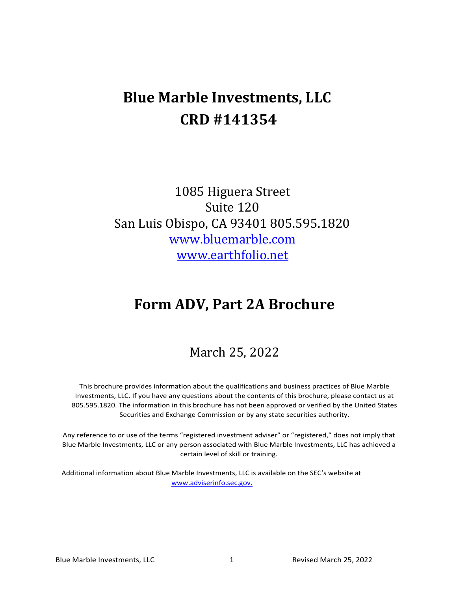# **Blue Marble Investments, LLC CRD #141354**

1085 Higuera Street Suite 120 San Luis Obispo, CA 93401 805.595.1820 [www.bluemarble.com](http://www.bluemarble.com/) [www.earthfolio.net](http://www.earthfolio.net/)

# **Form ADV, Part 2A Brochure**

# March 25, 2022

This brochure provides information about the qualifications and business practices of Blue Marble Investments, LLC. If you have any questions about the contents of this brochure, please contact us at 805.595.1820. The information in this brochure has not been approved or verified by the United States Securities and Exchange Commission or by any state securities authority.

Any reference to or use of the terms "registered investment adviser" or "registered," does not imply that Blue Marble Investments, LLC or any person associated with Blue Marble Investments, LLC has achieved a certain level of skill or training.

Additional information about Blue Marble Investments, LLC is available on the SEC's website at [www.adviserinfo.sec.gov.](http://www.adviserinfo.sec.gov/)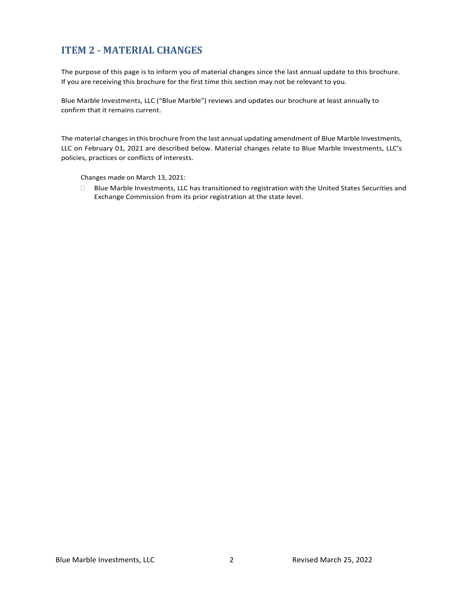# <span id="page-1-0"></span>**ITEM 2 - MATERIAL CHANGES**

The purpose of this page is to inform you of material changes since the last annual update to this brochure. If you are receiving this brochure for the first time this section may not be relevant to you.

Blue Marble Investments, LLC ("Blue Marble") reviews and updates our brochure at least annually to confirm that it remains current.

The material changes in this brochure from the last annual updating amendment of Blue Marble Investments, LLC on February 01, 2021 are described below. Material changes relate to Blue Marble Investments, LLC's policies, practices or conflicts of interests.

Changes made on March 13, 2021:

 Blue Marble Investments, LLC has transitioned to registration with the United States Securities and Exchange Commission from its prior registration at the state level.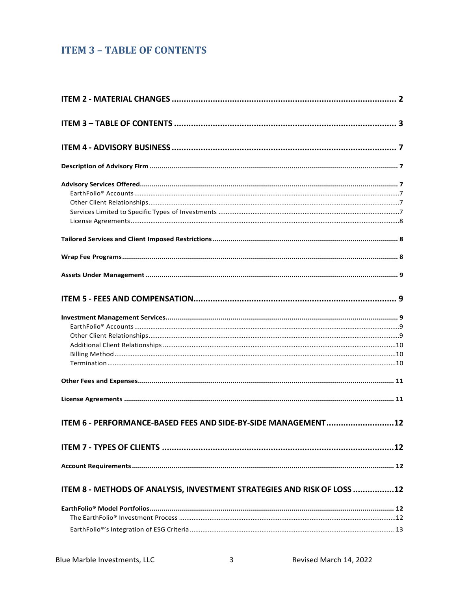# <span id="page-2-0"></span>**ITEM 3 - TABLE OF CONTENTS**

| ITEM 6 - PERFORMANCE-BASED FEES AND SIDE-BY-SIDE MANAGEMENT             | .12 |
|-------------------------------------------------------------------------|-----|
|                                                                         |     |
|                                                                         |     |
| ITEM 8 - METHODS OF ANALYSIS, INVESTMENT STRATEGIES AND RISK OF LOSS 12 |     |
|                                                                         |     |
|                                                                         |     |
|                                                                         |     |
|                                                                         |     |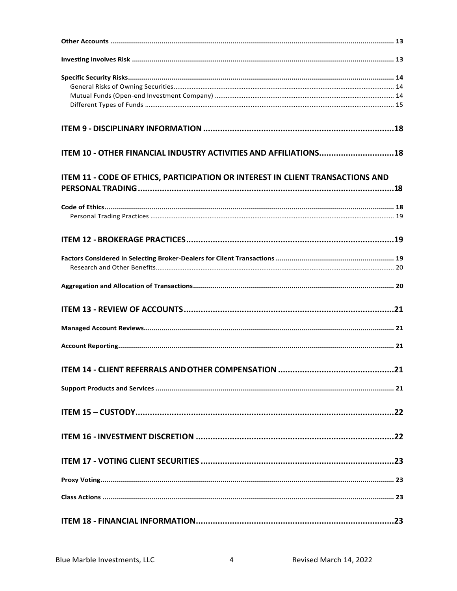| ITEM 10 - OTHER FINANCIAL INDUSTRY ACTIVITIES AND AFFILIATIONS18               |  |
|--------------------------------------------------------------------------------|--|
| ITEM 11 - CODE OF ETHICS, PARTICIPATION OR INTEREST IN CLIENT TRANSACTIONS AND |  |
|                                                                                |  |
|                                                                                |  |
|                                                                                |  |
|                                                                                |  |
|                                                                                |  |
|                                                                                |  |
|                                                                                |  |
|                                                                                |  |
|                                                                                |  |
|                                                                                |  |
| <b>ITEM 14 - CLIENT REFERRALS AND OTHER COMPENSATION </b><br>. 21              |  |
|                                                                                |  |
|                                                                                |  |
|                                                                                |  |
|                                                                                |  |
|                                                                                |  |
|                                                                                |  |
|                                                                                |  |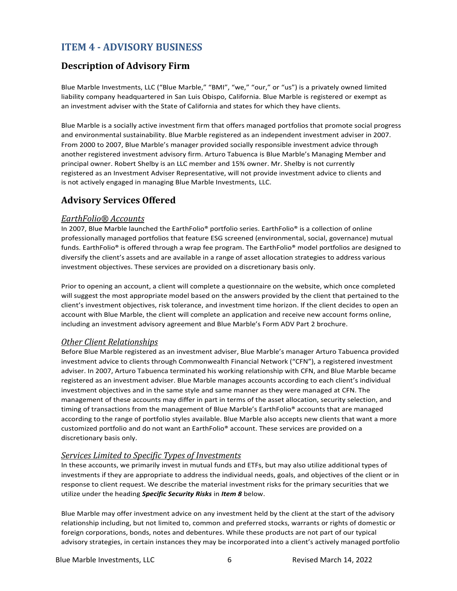# <span id="page-5-0"></span>**ITEM 4 - ADVISORY BUSINESS**

# <span id="page-5-1"></span>**Description of Advisory Firm**

Blue Marble Investments, LLC ("Blue Marble," "BMI", "we," "our," or "us") is a privately owned limited liability company headquartered in San Luis Obispo, California. Blue Marble is registered or exempt as an investment adviser with the State of California and states for which they have clients.

Blue Marble is a socially active investment firm that offers managed portfolios that promote social progress and environmental sustainability. Blue Marble registered as an independent investment adviser in 2007. From 2000 to 2007, Blue Marble's manager provided socially responsible investment advice through another registered investment advisory firm. Arturo Tabuenca is Blue Marble's Managing Member and principal owner. Robert Shelby is an LLC member and 15% owner. Mr. Shelby is not currently registered as an Investment Adviser Representative, will not provide investment advice to clients and is not actively engaged in managing Blue Marble Investments, LLC.

# <span id="page-5-2"></span>**Advisory Services Offered**

#### <span id="page-5-3"></span>*EarthFolio® Accounts*

In 2007, Blue Marble launched the EarthFolio® portfolio series. EarthFolio® is a collection of online professionally managed portfolios that feature ESG screened (environmental, social, governance) mutual funds. EarthFolio® is offered through a wrap fee program. The EarthFolio® model portfolios are designed to diversify the client's assets and are available in a range of asset allocation strategies to address various investment objectives. These services are provided on a discretionary basis only.

Prior to opening an account, a client will complete a questionnaire on the website, which once completed will suggest the most appropriate model based on the answers provided by the client that pertained to the client's investment objectives, risk tolerance, and investment time horizon. If the client decides to open an account with Blue Marble, the client will complete an application and receive new account forms online, including an investment advisory agreement and Blue Marble's Form ADV Part 2 brochure.

#### <span id="page-5-4"></span>*Other Client Relationships*

Before Blue Marble registered as an investment adviser, Blue Marble's manager Arturo Tabuenca provided investment advice to clients through Commonwealth Financial Network ("CFN"), a registered investment adviser. In 2007, Arturo Tabuenca terminated his working relationship with CFN, and Blue Marble became registered as an investment adviser. Blue Marble manages accounts according to each client's individual investment objectives and in the same style and same manner as they were managed at CFN. The management of these accounts may differ in part in terms of the asset allocation, security selection, and timing of transactions from the management of Blue Marble's EarthFolio® accounts that are managed according to the range of portfolio styles available. Blue Marble also accepts new clients that want a more customized portfolio and do not want an EarthFolio® account. These services are provided on a discretionary basis only.

#### <span id="page-5-5"></span>*Services Limited to Specific Types of Investments*

In these accounts, we primarily invest in mutual funds and ETFs, but may also utilize additional types of investments if they are appropriate to address the individual needs, goals, and objectives of the client or in response to client request. We describe the material investment risks for the primary securities that we utilize under the heading *Specific Security Risks* in *Item 8* below.

Blue Marble may offer investment advice on any investment held by the client at the start of the advisory relationship including, but not limited to, common and preferred stocks, warrants or rights of domestic or foreign corporations, bonds, notes and debentures. While these products are not part of our typical advisory strategies, in certain instances they may be incorporated into a client's actively managed portfolio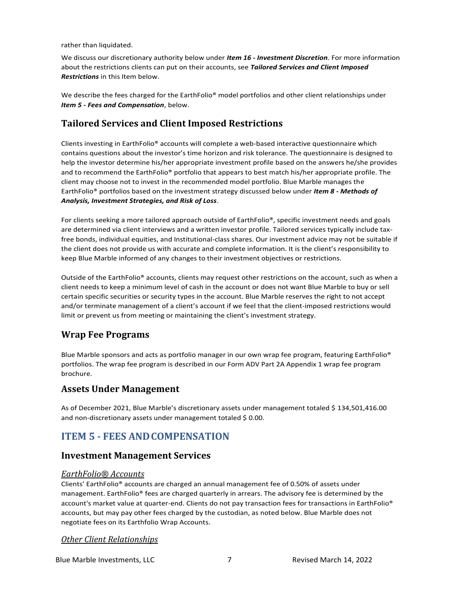rather than liquidated.

We discuss our discretionary authority below under *Item 16 - Investment Discretion*. For more information about the restrictions clients can put on their accounts, see *Tailored Services and Client Imposed Restrictions* in this Item below.

We describe the fees charged for the EarthFolio<sup>®</sup> model portfolios and other client relationships under *Item 5 - Fees and Compensation*, below.

# <span id="page-6-0"></span>**Tailored Services and Client Imposed Restrictions**

Clients investing in EarthFolio® accounts will complete a web-based interactive questionnaire which contains questions about the investor's time horizon and risk tolerance. The questionnaire is designed to help the investor determine his/her appropriate investment profile based on the answers he/she provides and to recommend the EarthFolio® portfolio that appears to best match his/her appropriate profile. The client may choose not to invest in the recommended model portfolio. Blue Marble manages the EarthFolio® portfolios based on the investment strategy discussed below under *Item 8 - Methods of Analysis, Investment Strategies, and Risk of Loss*.

For clients seeking a more tailored approach outside of EarthFolio®, specific investment needs and goals are determined via client interviews and a written investor profile. Tailored services typically include taxfree bonds, individual equities, and Institutional-class shares. Our investment advice may not be suitable if the client does not provide us with accurate and complete information. It is the client's responsibility to keep Blue Marble informed of any changes to their investment objectives or restrictions.

Outside of the EarthFolio® accounts, clients may request other restrictions on the account, such as when a client needs to keep a minimum level of cash in the account or does not want Blue Marble to buy or sell certain specific securities or security types in the account. Blue Marble reserves the right to not accept and/or terminate management of a client's account if we feel that the client-imposed restrictions would limit or prevent us from meeting or maintaining the client's investment strategy.

# <span id="page-6-1"></span>**Wrap Fee Programs**

Blue Marble sponsors and acts as portfolio manager in our own wrap fee program, featuring EarthFolio<sup>®</sup> portfolios. The wrap fee program is described in our Form ADV Part 2A Appendix 1 wrap fee program brochure.

## <span id="page-6-2"></span>**Assets Under Management**

As of December 2021, Blue Marble's discretionary assets under management totaled \$ 134,501,416.00 and non-discretionary assets under management totaled \$ 0.00.

# <span id="page-6-3"></span>**ITEM 5 - FEES ANDCOMPENSATION**

## <span id="page-6-4"></span>**Investment Management Services**

#### <span id="page-6-5"></span>*EarthFolio® Accounts*

Clients' EarthFolio® accounts are charged an annual management fee of 0.50% of assets under management. EarthFolio® fees are charged quarterly in arrears. The advisory fee is determined by the account's market value at quarter-end. Clients do not pay transaction fees for transactions in EarthFolio® accounts, but may pay other fees charged by the custodian, as noted below. Blue Marble does not negotiate fees on its Earthfolio Wrap Accounts.

#### <span id="page-6-6"></span>*Other Client Relationships*

Blue Marble Investments, LLC 7 Revised March 14, 2022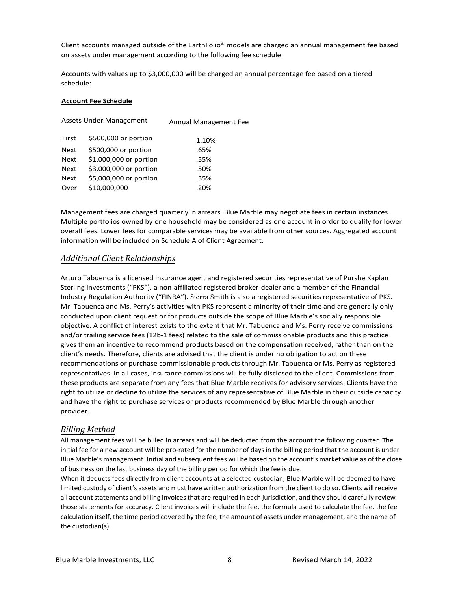Client accounts managed outside of the EarthFolio® models are charged an annual management fee based on assets under management according to the following fee schedule:

Accounts with values up to \$3,000,000 will be charged an annual percentage fee based on a tiered schedule:

#### **Account Fee Schedule**

| <b>Assets Under Management</b> |                        | Annual Management Fee |  |
|--------------------------------|------------------------|-----------------------|--|
| First                          | \$500,000 or portion   | 1.10%                 |  |
| <b>Next</b>                    | \$500,000 or portion   | .65%                  |  |
| <b>Next</b>                    | \$1,000,000 or portion | .55%                  |  |
| <b>Next</b>                    | \$3,000,000 or portion | .50%                  |  |
| <b>Next</b>                    | \$5,000,000 or portion | .35%                  |  |
| Over                           | \$10,000,000           | .20%                  |  |
|                                |                        |                       |  |

Management fees are charged quarterly in arrears. Blue Marble may negotiate fees in certain instances. Multiple portfolios owned by one household may be considered as one account in order to qualify for lower overall fees. Lower fees for comparable services may be available from other sources. Aggregated account information will be included on Schedule A of Client Agreement.

#### <span id="page-7-0"></span>*Additional Client Relationships*

Arturo Tabuenca is a licensed insurance agent and registered securities representative of Purshe Kaplan Sterling Investments ("PKS"), a non-affiliated registered broker-dealer and a member of the Financial Industry Regulation Authority ("FINRA"). Sierra Smith is also a registered securities representative of PKS. Mr. Tabuenca and Ms. Perry's activities with PKS represent a minority of their time and are generally only conducted upon client request or for products outside the scope of Blue Marble's socially responsible objective. A conflict of interest exists to the extent that Mr. Tabuenca and Ms. Perry receive commissions and/or trailing service fees (12b-1 fees) related to the sale of commissionable products and this practice gives them an incentive to recommend products based on the compensation received, rather than on the client's needs. Therefore, clients are advised that the client is under no obligation to act on these recommendations or purchase commissionable products through Mr. Tabuenca or Ms. Perry as registered representatives. In all cases, insurance commissions will be fully disclosed to the client. Commissions from these products are separate from any fees that Blue Marble receives for advisory services. Clients have the right to utilize or decline to utilize the services of any representative of Blue Marble in their outside capacity and have the right to purchase services or products recommended by Blue Marble through another provider.

#### <span id="page-7-1"></span>*Billing Method*

All management fees will be billed in arrears and will be deducted from the account the following quarter. The initial fee for a new account will be pro-rated for the number of days in the billing period that the account is under Blue Marble's management. Initial and subsequent fees will be based on the account's market value as of the close of business on the last business day of the billing period for which the fee is due.

When it deducts fees directly from client accounts at a selected custodian, Blue Marble will be deemed to have limited custody of client's assets and must have written authorization from the client to do so. Clients will receive all account statements and billing invoices that are required in each jurisdiction, and they should carefully review those statements for accuracy. Client invoices will include the fee, the formula used to calculate the fee, the fee calculation itself, the time period covered by the fee, the amount of assets under management, and the name of the custodian(s).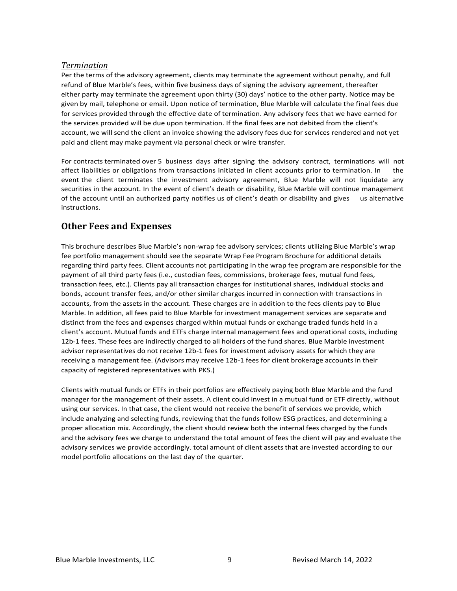#### <span id="page-8-0"></span>*Termination*

Per the terms of the advisory agreement, clients may terminate the agreement without penalty, and full refund of Blue Marble's fees, within five business days of signing the advisory agreement, thereafter either party may terminate the agreement upon thirty (30) days' notice to the other party. Notice may be given by mail, telephone or email. Upon notice of termination, Blue Marble will calculate the final fees due for services provided through the effective date of termination. Any advisory fees that we have earned for the services provided will be due upon termination. If the final fees are not debited from the client's account, we will send the client an invoice showing the advisory fees due for services rendered and not yet paid and client may make payment via personal check or wire transfer.

For contracts terminated over 5 business days after signing the advisory contract, terminations will not affect liabilities or obligations from transactions initiated in client accounts prior to termination. In the event the client terminates the investment advisory agreement, Blue Marble will not liquidate any securities in the account. In the event of client's death or disability, Blue Marble will continue management of the account until an authorized party notifies us of client's death or disability and gives us alternative instructions.

## <span id="page-8-1"></span>**Other Fees and Expenses**

This brochure describes Blue Marble's non-wrap fee advisory services; clients utilizing Blue Marble's wrap fee portfolio management should see the separate Wrap Fee Program Brochure for additional details regarding third party fees. Client accounts not participating in the wrap fee program are responsible for the payment of all third party fees (i.e., custodian fees, commissions, brokerage fees, mutual fund fees, transaction fees, etc.). Clients pay all transaction charges for institutional shares, individual stocks and bonds, account transfer fees, and/or other similar charges incurred in connection with transactions in accounts, from the assets in the account. These charges are in addition to the fees clients pay to Blue Marble. In addition, all fees paid to Blue Marble for investment management services are separate and distinct from the fees and expenses charged within mutual funds or exchange traded funds held in a client's account. Mutual funds and ETFs charge internal management fees and operational costs, including 12b-1 fees. These fees are indirectly charged to all holders of the fund shares. Blue Marble investment advisor representatives do not receive 12b-1 fees for investment advisory assets for which they are receiving a management fee. (Advisors may receive 12b-1 fees for client brokerage accounts in their capacity of registered representatives with PKS.)

Clients with mutual funds or ETFs in their portfolios are effectively paying both Blue Marble and the fund manager for the management of their assets. A client could invest in a mutual fund or ETF directly, without using our services. In that case, the client would not receive the benefit of services we provide, which include analyzing and selecting funds, reviewing that the funds follow ESG practices, and determining a proper allocation mix. Accordingly, the client should review both the internal fees charged by the funds and the advisory fees we charge to understand the total amount of fees the client will pay and evaluate the advisory services we provide accordingly. total amount of client assets that are invested according to our model portfolio allocations on the last day of the quarter.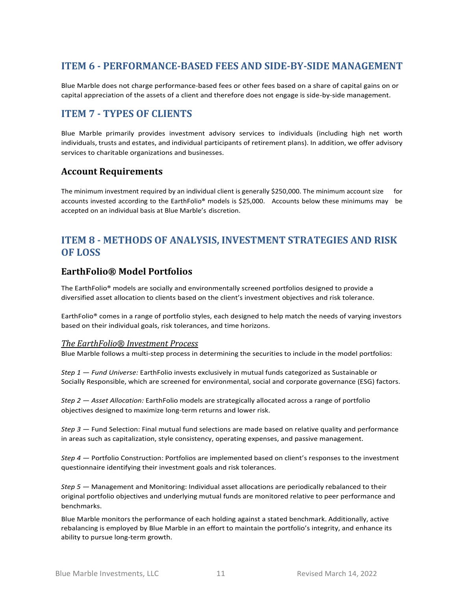# <span id="page-9-0"></span>**ITEM 6 - PERFORMANCE-BASED FEES AND SIDE-BY-SIDE MANAGEMENT**

Blue Marble does not charge performance-based fees or other fees based on a share of capital gains on or capital appreciation of the assets of a client and therefore does not engage is side-by-side management.

# <span id="page-9-1"></span>**ITEM 7 - TYPES OF CLIENTS**

Blue Marble primarily provides investment advisory services to individuals (including high net worth individuals, trusts and estates, and individual participants of retirement plans). In addition, we offer advisory services to charitable organizations and businesses.

## <span id="page-9-2"></span>**Account Requirements**

The minimum investment required by an individual client is generally \$250,000. The minimum account size for accounts invested according to the EarthFolio® models is \$25,000. Accounts below these minimums may be accepted on an individual basis at Blue Marble's discretion.

# <span id="page-9-3"></span>**ITEM 8 - METHODS OF ANALYSIS, INVESTMENT STRATEGIES AND RISK OF LOSS**

## <span id="page-9-4"></span>**EarthFolio® Model Portfolios**

The EarthFolio® models are socially and environmentally screened portfolios designed to provide a diversified asset allocation to clients based on the client's investment objectives and risk tolerance.

EarthFolio® comes in a range of portfolio styles, each designed to help match the needs of varying investors based on their individual goals, risk tolerances, and time horizons.

#### <span id="page-9-5"></span>*The EarthFolio® Investment Process*

Blue Marble follows a multi-step process in determining the securities to include in the model portfolios:

*Step 1 — Fund Universe:* EarthFolio invests exclusively in mutual funds categorized as Sustainable or Socially Responsible, which are screened for environmental, social and corporate governance (ESG) factors.

*Step 2 — Asset Allocation:* EarthFolio models are strategically allocated across a range of portfolio objectives designed to maximize long-term returns and lower risk.

*Step 3 —* Fund Selection: Final mutual fund selections are made based on relative quality and performance in areas such as capitalization, style consistency, operating expenses, and passive management.

*Step 4 —* Portfolio Construction: Portfolios are implemented based on client's responses to the investment questionnaire identifying their investment goals and risk tolerances.

*Step 5 —* Management and Monitoring: Individual asset allocations are periodically rebalanced to their original portfolio objectives and underlying mutual funds are monitored relative to peer performance and benchmarks.

Blue Marble monitors the performance of each holding against a stated benchmark. Additionally, active rebalancing is employed by Blue Marble in an effort to maintain the portfolio's integrity, and enhance its ability to pursue long-term growth.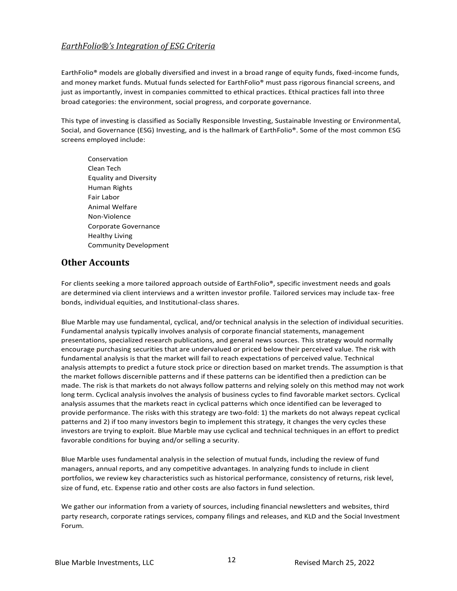### <span id="page-10-0"></span>*EarthFolio®'s Integration of ESG Criteria*

EarthFolio® models are globally diversified and invest in a broad range of equity funds, fixed-income funds, and money market funds. Mutual funds selected for EarthFolio® must pass rigorous financial screens, and just as importantly, invest in companies committed to ethical practices. Ethical practices fall into three broad categories: the environment, social progress, and corporate governance.

This type of investing is classified as Socially Responsible Investing, Sustainable Investing or Environmental, Social, and Governance (ESG) Investing, and is the hallmark of EarthFolio®. Some of the most common ESG screens employed include:

Conservation Clean Tech Equality and Diversity Human Rights Fair Labor Animal Welfare Non-Violence Corporate Governance Healthy Living Community Development

### <span id="page-10-1"></span>**Other Accounts**

For clients seeking a more tailored approach outside of EarthFolio®, specific investment needs and goals are determined via client interviews and a written investor profile. Tailored services may include tax- free bonds, individual equities, and Institutional-class shares.

Blue Marble may use fundamental, cyclical, and/or technical analysis in the selection of individual securities. Fundamental analysis typically involves analysis of corporate financial statements, management presentations, specialized research publications, and general news sources. This strategy would normally encourage purchasing securities that are undervalued or priced below their perceived value. The risk with fundamental analysis is that the market will fail to reach expectations of perceived value. Technical analysis attempts to predict a future stock price or direction based on market trends. The assumption is that the market follows discernible patterns and if these patterns can be identified then a prediction can be made. The risk is that markets do not always follow patterns and relying solely on this method may not work long term. Cyclical analysis involves the analysis of business cycles to find favorable market sectors. Cyclical analysis assumes that the markets react in cyclical patterns which once identified can be leveraged to provide performance. The risks with this strategy are two-fold: 1) the markets do not always repeat cyclical patterns and 2) if too many investors begin to implement this strategy, it changes the very cycles these investors are trying to exploit. Blue Marble may use cyclical and technical techniques in an effort to predict favorable conditions for buying and/or selling a security.

Blue Marble uses fundamental analysis in the selection of mutual funds, including the review of fund managers, annual reports, and any competitive advantages. In analyzing funds to include in client portfolios, we review key characteristics such as historical performance, consistency of returns, risk level, size of fund, etc. Expense ratio and other costs are also factors in fund selection.

We gather our information from a variety of sources, including financial newsletters and websites, third party research, corporate ratings services, company filings and releases, and KLD and the Social Investment Forum.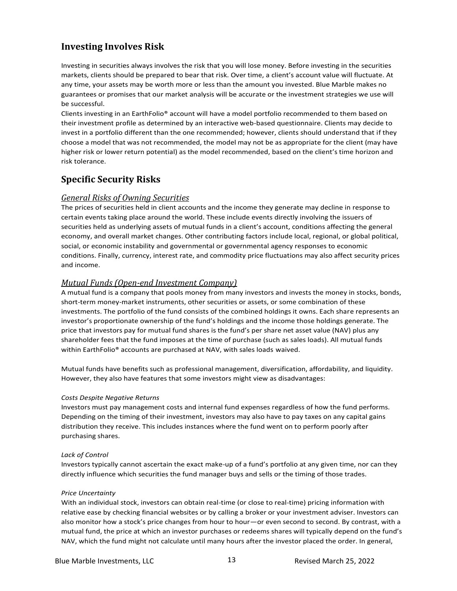# <span id="page-11-0"></span>**Investing Involves Risk**

Investing in securities always involves the risk that you will lose money. Before investing in the securities markets, clients should be prepared to bear that risk. Over time, a client's account value will fluctuate. At any time, your assets may be worth more or less than the amount you invested. Blue Marble makes no guarantees or promises that our market analysis will be accurate or the investment strategies we use will be successful.

Clients investing in an EarthFolio® account will have a model portfolio recommended to them based on their investment profile as determined by an interactive web-based questionnaire. Clients may decide to invest in a portfolio different than the one recommended; however, clients should understand that if they choose a model that was not recommended, the model may not be as appropriate for the client (may have higher risk or lower return potential) as the model recommended, based on the client's time horizon and risk tolerance.

# <span id="page-11-1"></span>**Specific Security Risks**

#### <span id="page-11-2"></span>*General Risks of Owning Securities*

The prices of securities held in client accounts and the income they generate may decline in response to certain events taking place around the world. These include events directly involving the issuers of securities held as underlying assets of mutual funds in a client's account, conditions affecting the general economy, and overall market changes. Other contributing factors include local, regional, or global political, social, or economic instability and governmental or governmental agency responses to economic conditions. Finally, currency, interest rate, and commodity price fluctuations may also affect security prices and income.

#### <span id="page-11-3"></span>*Mutual Funds (Open-end Investment Company)*

A mutual fund is a company that pools money from many investors and invests the money in stocks, bonds, short-term money-market instruments, other securities or assets, or some combination of these investments. The portfolio of the fund consists of the combined holdings it owns. Each share represents an investor's proportionate ownership of the fund's holdings and the income those holdings generate. The price that investors pay for mutual fund shares is the fund's per share net asset value (NAV) plus any shareholder fees that the fund imposes at the time of purchase (such as sales loads). All mutual funds within EarthFolio® accounts are purchased at NAV, with sales loads waived.

Mutual funds have benefits such as professional management, diversification, affordability, and liquidity. However, they also have features that some investors might view as disadvantages:

#### *Costs Despite Negative Returns*

Investors must pay management costs and internal fund expenses regardless of how the fund performs. Depending on the timing of their investment, investors may also have to pay taxes on any capital gains distribution they receive. This includes instances where the fund went on to perform poorly after purchasing shares.

#### *Lack of Control*

Investors typically cannot ascertain the exact make-up of a fund's portfolio at any given time, nor can they directly influence which securities the fund manager buys and sells or the timing of those trades.

#### *Price Uncertainty*

With an individual stock, investors can obtain real-time (or close to real-time) pricing information with relative ease by checking financial websites or by calling a broker or your investment adviser. Investors can also monitor how a stock's price changes from hour to hour—or even second to second. By contrast, with a mutual fund, the price at which an investor purchases or redeems shares will typically depend on the fund's NAV, which the fund might not calculate until many hours after the investor placed the order. In general,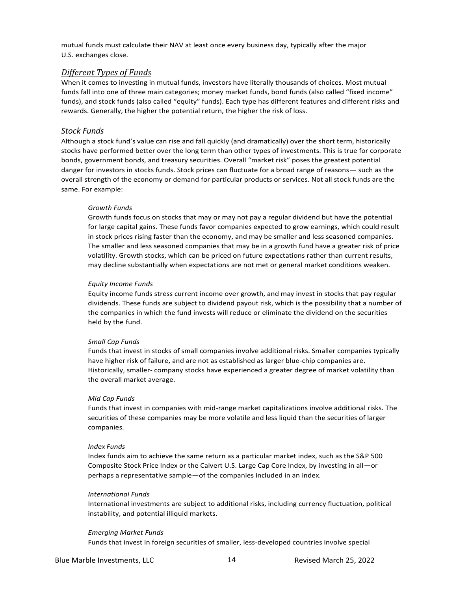mutual funds must calculate their NAV at least once every business day, typically after the major U.S. exchanges close.

#### <span id="page-12-0"></span>*Different Types of Funds*

When it comes to investing in mutual funds, investors have literally thousands of choices. Most mutual funds fall into one of three main categories; money market funds, bond funds (also called "fixed income" funds), and stock funds (also called "equity" funds). Each type has different features and different risks and rewards. Generally, the higher the potential return, the higher the risk of loss.

#### *Stock Funds*

Although a stock fund's value can rise and fall quickly (and dramatically) over the short term, historically stocks have performed better over the long term than other types of investments. This is true for corporate bonds, government bonds, and treasury securities. Overall "market risk" poses the greatest potential danger for investors in stocks funds. Stock prices can fluctuate for a broad range of reasons— such as the overall strength of the economy or demand for particular products or services. Not all stock funds are the same. For example:

#### *Growth Funds*

Growth funds focus on stocks that may or may not pay a regular dividend but have the potential for large capital gains. These funds favor companies expected to grow earnings, which could result in stock prices rising faster than the economy, and may be smaller and less seasoned companies. The smaller and less seasoned companies that may be in a growth fund have a greater risk of price volatility. Growth stocks, which can be priced on future expectations rather than current results, may decline substantially when expectations are not met or general market conditions weaken.

#### *Equity Income Funds*

Equity income funds stress current income over growth, and may invest in stocks that pay regular dividends. These funds are subject to dividend payout risk, which is the possibility that a number of the companies in which the fund invests will reduce or eliminate the dividend on the securities held by the fund.

#### *Small Cap Funds*

Funds that invest in stocks of small companies involve additional risks. Smaller companies typically have higher risk of failure, and are not as established as larger blue-chip companies are. Historically, smaller- company stocks have experienced a greater degree of market volatility than the overall market average.

#### *Mid Cap Funds*

Funds that invest in companies with mid-range market capitalizations involve additional risks. The securities of these companies may be more volatile and less liquid than the securities of larger companies.

#### *Index Funds*

Index funds aim to achieve the same return as a particular market index, such as the S&P 500 Composite Stock Price Index or the Calvert U.S. Large Cap Core Index, by investing in all—or perhaps a representative sample—of the companies included in an index.

#### *International Funds*

International investments are subject to additional risks, including currency fluctuation, political instability, and potential illiquid markets.

#### *Emerging Market Funds*

Funds that invest in foreign securities of smaller, less-developed countries involve special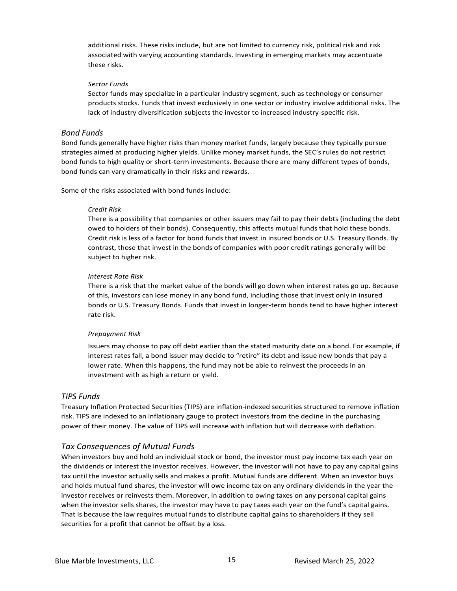additional risks. These risks include, but are not limited to currency risk, political risk and risk associated with varying accounting standards. Investing in emerging markets may accentuate these risks.

#### *Sector Funds*

Sector funds may specialize in a particular industry segment, such as technology or consumer products stocks. Funds that invest exclusively in one sector or industry involve additional risks. The lack of industry diversification subjects the investor to increased industry-specific risk.

#### *Bond Funds*

Bond funds generally have higher risks than money market funds, largely because they typically pursue strategies aimed at producing higher yields. Unlike money market funds, the SEC's rules do not restrict bond funds to high quality or short-term investments. Because there are many different types of bonds, bond funds can vary dramatically in their risks and rewards.

Some of the risks associated with bond funds include:

#### *Credit Risk*

There is a possibility that companies or other issuers may fail to pay their debts (including the debt owed to holders of their bonds). Consequently, this affects mutual funds that hold these bonds. Credit risk is less of a factor for bond funds that invest in insured bonds or U.S. Treasury Bonds. By contrast, those that invest in the bonds of companies with poor credit ratings generally will be subject to higher risk.

#### *Interest Rate Risk*

There is a risk that the market value of the bonds will go down when interest rates go up. Because of this, investors can lose money in any bond fund, including those that invest only in insured bonds or U.S. Treasury Bonds. Funds that invest in longer-term bonds tend to have higher interest rate risk.

#### *Prepayment Risk*

Issuers may choose to pay off debt earlier than the stated maturity date on a bond. For example, if interest rates fall, a bond issuer may decide to "retire" its debt and issue new bonds that pay a lower rate. When this happens, the fund may not be able to reinvest the proceeds in an investment with as high a return or yield.

#### *TIPS Funds*

Treasury Inflation Protected Securities (TIPS) are inflation-indexed securities structured to remove inflation risk. TIPS are indexed to an inflationary gauge to protect investors from the decline in the purchasing power of their money. The value of TIPS will increase with inflation but will decrease with deflation.

#### *Tax Consequences of Mutual Funds*

When investors buy and hold an individual stock or bond, the investor must pay income tax each year on the dividends or interest the investor receives. However, the investor will not have to pay any capital gains tax until the investor actually sells and makes a profit. Mutual funds are different. When an investor buys and holds mutual fund shares, the investor will owe income tax on any ordinary dividends in the year the investor receives or reinvests them. Moreover, in addition to owing taxes on any personal capital gains when the investor sells shares, the investor may have to pay taxes each year on the fund's capital gains. That is because the law requires mutual funds to distribute capital gains to shareholders if they sell securities for a profit that cannot be offset by a loss.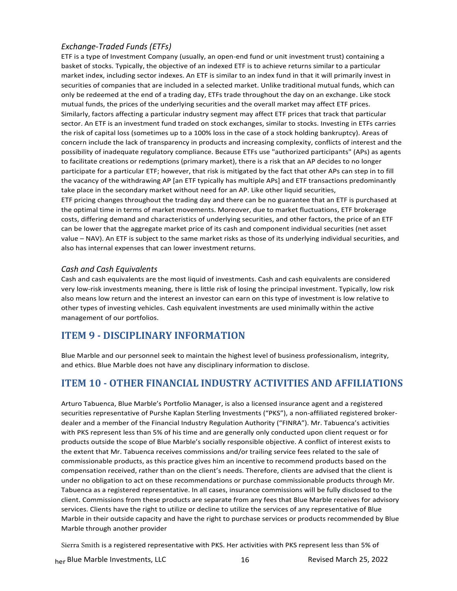#### *Exchange-Traded Funds (ETFs)*

ETF is a type of Investment Company (usually, an open-end fund or unit investment trust) containing a basket of stocks. Typically, the objective of an indexed ETF is to achieve returns similar to a particular market index, including sector indexes. An ETF is similar to an index fund in that it will primarily invest in securities of companies that are included in a selected market. Unlike traditional mutual funds, which can only be redeemed at the end of a trading day, ETFs trade throughout the day on an exchange. Like stock mutual funds, the prices of the underlying securities and the overall market may affect ETF prices. Similarly, factors affecting a particular industry segment may affect ETF prices that track that particular sector. An ETF is an investment fund traded on stock exchanges, similar to stocks. Investing in ETFs carries the risk of capital loss (sometimes up to a 100% loss in the case of a stock holding bankruptcy). Areas of concern include the lack of transparency in products and increasing complexity, conflicts of interest and the possibility of inadequate regulatory compliance. Because ETFs use "authorized participants" (APs) as agents to facilitate creations or redemptions (primary market), there is a risk that an AP decides to no longer participate for a particular ETF; however, that risk is mitigated by the fact that other APs can step in to fill the vacancy of the withdrawing AP [an ETF typically has multiple APs] and ETF transactions predominantly take place in the secondary market without need for an AP. Like other liquid securities,

ETF pricing changes throughout the trading day and there can be no guarantee that an ETF is purchased at the optimal time in terms of market movements. Moreover, due to market fluctuations, ETF brokerage costs, differing demand and characteristics of underlying securities, and other factors, the price of an ETF can be lower that the aggregate market price of its cash and component individual securities (net asset value – NAV). An ETF is subject to the same market risks as those of its underlying individual securities, and also has internal expenses that can lower investment returns.

#### *Cash and Cash Equivalents*

Cash and cash equivalents are the most liquid of investments. Cash and cash equivalents are considered very low-risk investments meaning, there is little risk of losing the principal investment. Typically, low risk also means low return and the interest an investor can earn on this type of investment is low relative to other types of investing vehicles. Cash equivalent investments are used minimally within the active management of our portfolios.

# <span id="page-14-0"></span>**ITEM 9 - DISCIPLINARY INFORMATION**

Blue Marble and our personnel seek to maintain the highest level of business professionalism, integrity, and ethics. Blue Marble does not have any disciplinary information to disclose.

# <span id="page-14-1"></span>**ITEM 10 - OTHER FINANCIAL INDUSTRY ACTIVITIES AND AFFILIATIONS**

Arturo Tabuenca, Blue Marble's Portfolio Manager, is also a licensed insurance agent and a registered securities representative of Purshe Kaplan Sterling Investments ("PKS"), a non-affiliated registered brokerdealer and a member of the Financial Industry Regulation Authority ("FINRA"). Mr. Tabuenca's activities with PKS represent less than 5% of his time and are generally only conducted upon client request or for products outside the scope of Blue Marble's socially responsible objective. A conflict of interest exists to the extent that Mr. Tabuenca receives commissions and/or trailing service fees related to the sale of commissionable products, as this practice gives him an incentive to recommend products based on the compensation received, rather than on the client's needs. Therefore, clients are advised that the client is under no obligation to act on these recommendations or purchase commissionable products through Mr. Tabuenca as a registered representative. In all cases, insurance commissions will be fully disclosed to the client. Commissions from these products are separate from any fees that Blue Marble receives for advisory services. Clients have the right to utilize or decline to utilize the services of any representative of Blue Marble in their outside capacity and have the right to purchase services or products recommended by Blue Marble through another provider

Sierra Smith is a registered representative with PKS. Her activities with PKS represent less than 5% of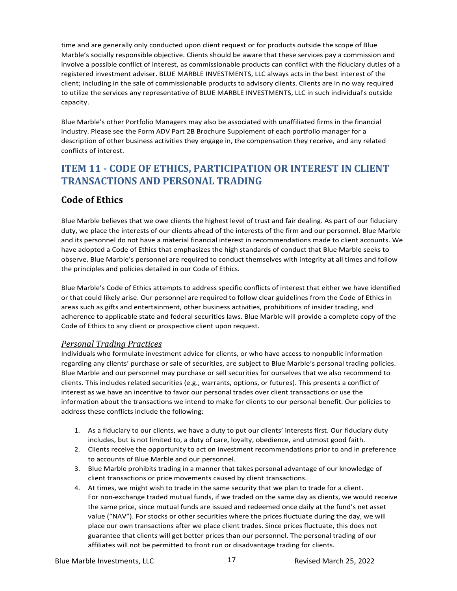time and are generally only conducted upon client request or for products outside the scope of Blue Marble's socially responsible objective. Clients should be aware that these services pay a commission and involve a possible conflict of interest, as commissionable products can conflict with the fiduciary duties of a registered investment adviser. BLUE MARBLE INVESTMENTS, LLC always acts in the best interest of the client; including in the sale of commissionable products to advisory clients. Clients are in no way required to utilize the services any representative of BLUE MARBLE INVESTMENTS, LLC in such individual's outside capacity.

Blue Marble's other Portfolio Managers may also be associated with unaffiliated firms in the financial industry. Please see the Form ADV Part 2B Brochure Supplement of each portfolio manager for a description of other business activities they engage in, the compensation they receive, and any related conflicts of interest.

# <span id="page-15-0"></span>**ITEM 11 - CODE OF ETHICS, PARTICIPATION OR INTEREST IN CLIENT TRANSACTIONS AND PERSONAL TRADING**

# <span id="page-15-1"></span>**Code of Ethics**

Blue Marble believes that we owe clients the highest level of trust and fair dealing. As part of our fiduciary duty, we place the interests of our clients ahead of the interests of the firm and our personnel. Blue Marble and its personnel do not have a material financial interest in recommendations made to client accounts. We have adopted a Code of Ethics that emphasizes the high standards of conduct that Blue Marble seeks to observe. Blue Marble's personnel are required to conduct themselves with integrity at all times and follow the principles and policies detailed in our Code of Ethics.

Blue Marble's Code of Ethics attempts to address specific conflicts of interest that either we have identified or that could likely arise. Our personnel are required to follow clear guidelines from the Code of Ethics in areas such as gifts and entertainment, other business activities, prohibitions of insider trading, and adherence to applicable state and federal securities laws. Blue Marble will provide a complete copy of the Code of Ethics to any client or prospective client upon request.

#### <span id="page-15-2"></span>*Personal Trading Practices*

Individuals who formulate investment advice for clients, or who have access to nonpublic information regarding any clients' purchase or sale of securities, are subject to Blue Marble's personal trading policies. Blue Marble and our personnel may purchase or sell securities for ourselves that we also recommend to clients. This includes related securities (e.g., warrants, options, or futures). This presents a conflict of interest as we have an incentive to favor our personal trades over client transactions or use the information about the transactions we intend to make for clients to our personal benefit. Our policies to address these conflicts include the following:

- 1. As a fiduciary to our clients, we have a duty to put our clients' interests first. Our fiduciary duty includes, but is not limited to, a duty of care, loyalty, obedience, and utmost good faith.
- 2. Clients receive the opportunity to act on investment recommendations prior to and in preference to accounts of Blue Marble and our personnel.
- 3. Blue Marble prohibits trading in a manner that takes personal advantage of our knowledge of client transactions or price movements caused by client transactions.
- 4. At times, we might wish to trade in the same security that we plan to trade for a client. For non-exchange traded mutual funds, if we traded on the same day as clients, we would receive the same price, since mutual funds are issued and redeemed once daily at the fund's net asset value ("NAV"). For stocks or other securities where the prices fluctuate during the day, we will place our own transactions after we place client trades. Since prices fluctuate, this does not guarantee that clients will get better prices than our personnel. The personal trading of our affiliates will not be permitted to front run or disadvantage trading for clients.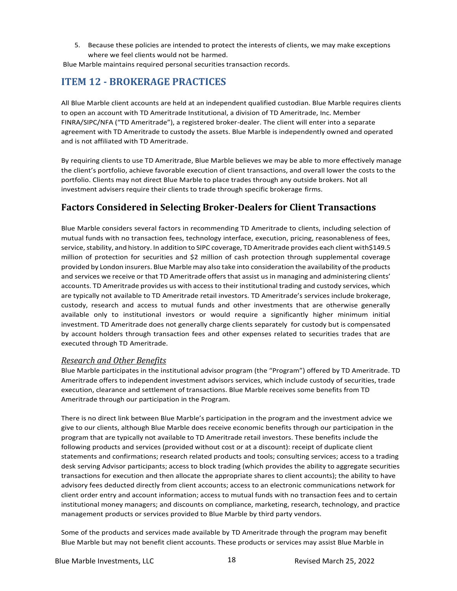5. Because these policies are intended to protect the interests of clients, we may make exceptions where we feel clients would not be harmed.

Blue Marble maintains required personal securities transaction records.

# <span id="page-16-0"></span>**ITEM 12 - BROKERAGE PRACTICES**

All Blue Marble client accounts are held at an independent qualified custodian. Blue Marble requires clients to open an account with TD Ameritrade Institutional, a division of TD Ameritrade, Inc. Member FINRA/SIPC/NFA ("TD Ameritrade"), a registered broker-dealer. The client will enter into a separate agreement with TD Ameritrade to custody the assets. Blue Marble is independently owned and operated and is not affiliated with TD Ameritrade.

By requiring clients to use TD Ameritrade, Blue Marble believes we may be able to more effectively manage the client's portfolio, achieve favorable execution of client transactions, and overall lower the costs to the portfolio. Clients may not direct Blue Marble to place trades through any outside brokers. Not all investment advisers require their clients to trade through specific brokerage firms.

## <span id="page-16-1"></span>**Factors Considered in Selecting Broker-Dealers for Client Transactions**

Blue Marble considers several factors in recommending TD Ameritrade to clients, including selection of mutual funds with no transaction fees, technology interface, execution, pricing, reasonableness of fees, service, stability, and history. In addition to SIPC coverage, TD Ameritrade provides each client with\$149.5 million of protection for securities and \$2 million of cash protection through supplemental coverage provided by London insurers. Blue Marble may also take into consideration the availability of the products and services we receive or that TD Ameritrade offers that assist us in managing and administering clients' accounts. TD Ameritrade provides us with access to their institutional trading and custody services, which are typically not available to TD Ameritrade retail investors. TD Ameritrade's services include brokerage, custody, research and access to mutual funds and other investments that are otherwise generally available only to institutional investors or would require a significantly higher minimum initial investment. TD Ameritrade does not generally charge clients separately for custody but is compensated by account holders through transaction fees and other expenses related to securities trades that are executed through TD Ameritrade.

#### <span id="page-16-2"></span>*Research and Other Benefits*

Blue Marble participates in the institutional advisor program (the "Program") offered by TD Ameritrade. TD Ameritrade offers to independent investment advisors services, which include custody of securities, trade execution, clearance and settlement of transactions. Blue Marble receives some benefits from TD Ameritrade through our participation in the Program.

There is no direct link between Blue Marble's participation in the program and the investment advice we give to our clients, although Blue Marble does receive economic benefits through our participation in the program that are typically not available to TD Ameritrade retail investors. These benefits include the following products and services (provided without cost or at a discount): receipt of duplicate client statements and confirmations; research related products and tools; consulting services; access to a trading desk serving Advisor participants; access to block trading (which provides the ability to aggregate securities transactions for execution and then allocate the appropriate shares to client accounts); the ability to have advisory fees deducted directly from client accounts; access to an electronic communications network for client order entry and account information; access to mutual funds with no transaction fees and to certain institutional money managers; and discounts on compliance, marketing, research, technology, and practice management products or services provided to Blue Marble by third party vendors.

Some of the products and services made available by TD Ameritrade through the program may benefit Blue Marble but may not benefit client accounts. These products or services may assist Blue Marble in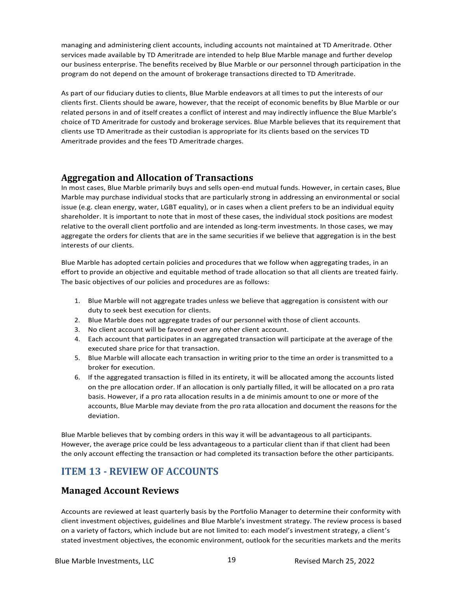managing and administering client accounts, including accounts not maintained at TD Ameritrade. Other services made available by TD Ameritrade are intended to help Blue Marble manage and further develop our business enterprise. The benefits received by Blue Marble or our personnel through participation in the program do not depend on the amount of brokerage transactions directed to TD Ameritrade.

As part of our fiduciary duties to clients, Blue Marble endeavors at all times to put the interests of our clients first. Clients should be aware, however, that the receipt of economic benefits by Blue Marble or our related persons in and of itself creates a conflict of interest and may indirectly influence the Blue Marble's choice of TD Ameritrade for custody and brokerage services. Blue Marble believes that its requirement that clients use TD Ameritrade as their custodian is appropriate for its clients based on the services TD Ameritrade provides and the fees TD Ameritrade charges.

## <span id="page-17-0"></span>**Aggregation and Allocation of Transactions**

In most cases, Blue Marble primarily buys and sells open-end mutual funds. However, in certain cases, Blue Marble may purchase individual stocks that are particularly strong in addressing an environmental or social issue (e.g. clean energy, water, LGBT equality), or in cases when a client prefers to be an individual equity shareholder. It is important to note that in most of these cases, the individual stock positions are modest relative to the overall client portfolio and are intended as long-term investments. In those cases, we may aggregate the orders for clients that are in the same securities if we believe that aggregation is in the best interests of our clients.

Blue Marble has adopted certain policies and procedures that we follow when aggregating trades, in an effort to provide an objective and equitable method of trade allocation so that all clients are treated fairly. The basic objectives of our policies and procedures are as follows:

- 1. Blue Marble will not aggregate trades unless we believe that aggregation is consistent with our duty to seek best execution for clients.
- 2. Blue Marble does not aggregate trades of our personnel with those of client accounts.
- 3. No client account will be favored over any other client account.
- 4. Each account that participates in an aggregated transaction will participate at the average of the executed share price for that transaction.
- 5. Blue Marble will allocate each transaction in writing prior to the time an order is transmitted to a broker for execution.
- 6. If the aggregated transaction is filled in its entirety, it will be allocated among the accounts listed on the pre allocation order. If an allocation is only partially filled, it will be allocated on a pro rata basis. However, if a pro rata allocation results in a de minimis amount to one or more of the accounts, Blue Marble may deviate from the pro rata allocation and document the reasons for the deviation.

Blue Marble believes that by combing orders in this way it will be advantageous to all participants. However, the average price could be less advantageous to a particular client than if that client had been the only account effecting the transaction or had completed its transaction before the other participants.

# <span id="page-17-1"></span>**ITEM 13 - REVIEW OF ACCOUNTS**

## <span id="page-17-2"></span>**Managed Account Reviews**

Accounts are reviewed at least quarterly basis by the Portfolio Manager to determine their conformity with client investment objectives, guidelines and Blue Marble's investment strategy. The review process is based on a variety of factors, which include but are not limited to: each model's investment strategy, a client's stated investment objectives, the economic environment, outlook for the securities markets and the merits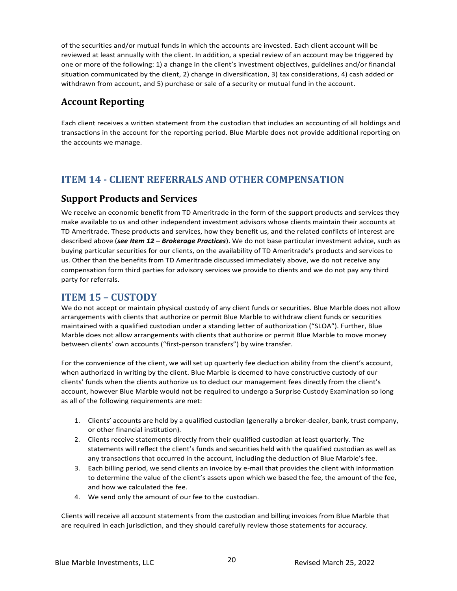of the securities and/or mutual funds in which the accounts are invested. Each client account will be reviewed at least annually with the client. In addition, a special review of an account may be triggered by one or more of the following: 1) a change in the client's investment objectives, guidelines and/or financial situation communicated by the client, 2) change in diversification, 3) tax considerations, 4) cash added or withdrawn from account, and 5) purchase or sale of a security or mutual fund in the account.

# <span id="page-18-0"></span>**Account Reporting**

Each client receives a written statement from the custodian that includes an accounting of all holdings and transactions in the account for the reporting period. Blue Marble does not provide additional reporting on the accounts we manage.

# <span id="page-18-1"></span>**ITEM 14 - CLIENT REFERRALS AND OTHER COMPENSATION**

## <span id="page-18-2"></span>**Support Products and Services**

We receive an economic benefit from TD Ameritrade in the form of the support products and services they make available to us and other independent investment advisors whose clients maintain their accounts at TD Ameritrade. These products and services, how they benefit us, and the related conflicts of interest are described above (*see Item 12 – Brokerage Practices*). We do not base particular investment advice, such as buying particular securities for our clients, on the availability of TD Ameritrade's products and services to us. Other than the benefits from TD Ameritrade discussed immediately above, we do not receive any compensation form third parties for advisory services we provide to clients and we do not pay any third party for referrals.

## <span id="page-18-3"></span>**ITEM 15 – CUSTODY**

We do not accept or maintain physical custody of any client funds or securities. Blue Marble does not allow arrangements with clients that authorize or permit Blue Marble to withdraw client funds or securities maintained with a qualified custodian under a standing letter of authorization ("SLOA"). Further, Blue Marble does not allow arrangements with clients that authorize or permit Blue Marble to move money between clients' own accounts ("first-person transfers") by wire transfer.

For the convenience of the client, we will set up quarterly fee deduction ability from the client's account, when authorized in writing by the client. Blue Marble is deemed to have constructive custody of our clients' funds when the clients authorize us to deduct our management fees directly from the client's account, however Blue Marble would not be required to undergo a Surprise Custody Examination so long as all of the following requirements are met:

- 1. Clients' accounts are held by a qualified custodian (generally a broker-dealer, bank, trust company, or other financial institution).
- 2. Clients receive statements directly from their qualified custodian at least quarterly. The statements will reflect the client's funds and securities held with the qualified custodian as well as any transactions that occurred in the account, including the deduction of Blue Marble's fee.
- 3. Each billing period, we send clients an invoice by e-mail that provides the client with information to determine the value of the client's assets upon which we based the fee, the amount of the fee, and how we calculated the fee.
- <span id="page-18-4"></span>4. We send only the amount of our fee to the custodian.

Clients will receive all account statements from the custodian and billing invoices from Blue Marble that are required in each jurisdiction, and they should carefully review those statements for accuracy.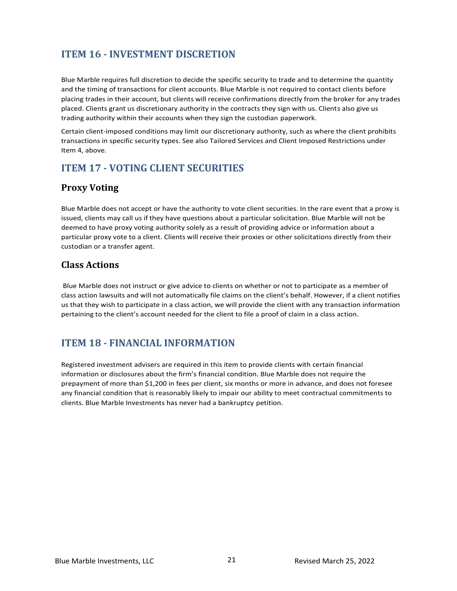# **ITEM 16 - INVESTMENT DISCRETION**

Blue Marble requires full discretion to decide the specific security to trade and to determine the quantity and the timing of transactions for client accounts. Blue Marble is not required to contact clients before placing trades in their account, but clients will receive confirmations directly from the broker for any trades placed. Clients grant us discretionary authority in the contracts they sign with us. Clients also give us trading authority within their accounts when they sign the custodian paperwork.

Certain client-imposed conditions may limit our discretionary authority, such as where the client prohibits transactions in specific security types. See also Tailored Services and Client Imposed Restrictions under Item 4, above.

# <span id="page-19-0"></span>**ITEM 17 - VOTING CLIENT SECURITIES**

# <span id="page-19-1"></span>**Proxy Voting**

Blue Marble does not accept or have the authority to vote client securities. In the rare event that a proxy is issued, clients may call us if they have questions about a particular solicitation. Blue Marble will not be deemed to have proxy voting authority solely as a result of providing advice or information about a particular proxy vote to a client. Clients will receive their proxies or other solicitations directly from their custodian or a transfer agent.

## <span id="page-19-2"></span>**Class Actions**

Blue Marble does not instruct or give advice to clients on whether or not to participate as a member of class action lawsuits and will not automatically file claims on the client's behalf. However, if a client notifies us that they wish to participate in a class action, we will provide the client with any transaction information pertaining to the client's account needed for the client to file a proof of claim in a class action.

# <span id="page-19-3"></span>**ITEM 18 - FINANCIAL INFORMATION**

Registered investment advisers are required in this item to provide clients with certain financial information or disclosures about the firm's financial condition. Blue Marble does not require the prepayment of more than \$1,200 in fees per client, six months or more in advance, and does not foresee any financial condition that is reasonably likely to impair our ability to meet contractual commitments to clients. Blue Marble Investments has never had a bankruptcy petition.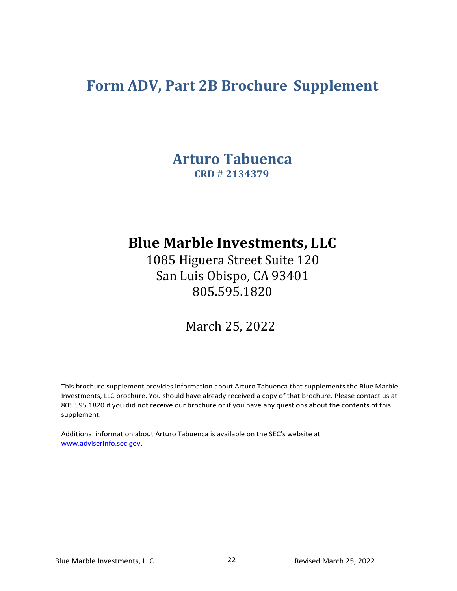# <span id="page-20-1"></span><span id="page-20-0"></span>**Form ADV, Part 2B Brochure Supplement**

**Arturo Tabuenca CRD # 2134379**

# **Blue Marble Investments, LLC**

1085 Higuera Street Suite 120 San Luis Obispo, CA 93401 805.595.1820

March 25, 2022

This brochure supplement provides information about Arturo Tabuenca that supplements the Blue Marble Investments, LLC brochure. You should have already received a copy of that brochure. Please contact us at 805.595.1820 if you did not receive our brochure or if you have any questions about the contents of this supplement.

Additional information about Arturo Tabuenca is available on the SEC's website at [www.adviserinfo.sec.gov.](http://www.adviserinfo.sec.gov/)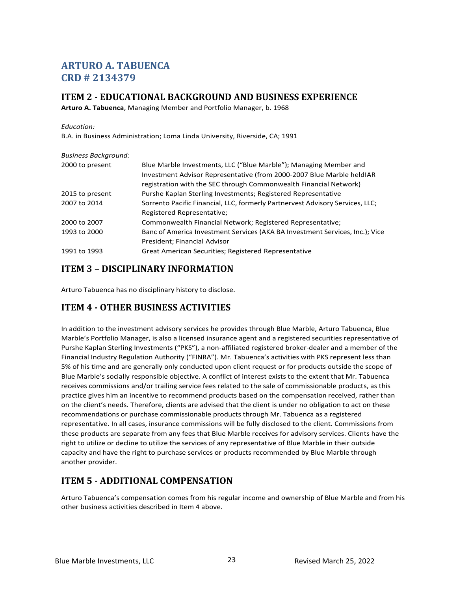# **ARTURO A. TABUENCA CRD # 2134379**

## <span id="page-21-0"></span>**ITEM 2 - EDUCATIONAL BACKGROUND AND BUSINESS EXPERIENCE**

**Arturo A. Tabuenca**, Managing Member and Portfolio Manager, b. 1968

#### *Education:*

B.A. in Business Administration; Loma Linda University, Riverside, CA; 1991

| <b>Business Background:</b> |                                                                               |
|-----------------------------|-------------------------------------------------------------------------------|
| 2000 to present             | Blue Marble Investments, LLC ("Blue Marble"); Managing Member and             |
|                             | Investment Advisor Representative (from 2000-2007 Blue Marble held JAR        |
|                             | registration with the SEC through Commonwealth Financial Network)             |
| 2015 to present             | Purshe Kaplan Sterling Investments; Registered Representative                 |
| 2007 to 2014                | Sorrento Pacific Financial, LLC, formerly Partnervest Advisory Services, LLC; |
|                             | Registered Representative;                                                    |
| 2000 to 2007                | Commonwealth Financial Network; Registered Representative;                    |
| 1993 to 2000                | Banc of America Investment Services (AKA BA Investment Services, Inc.); Vice  |
|                             | President; Financial Advisor                                                  |
| 1991 to 1993                | Great American Securities; Registered Representative                          |

## <span id="page-21-1"></span>**ITEM 3 – DISCIPLINARY INFORMATION**

Arturo Tabuenca has no disciplinary history to disclose.

# <span id="page-21-2"></span>**ITEM 4 - OTHER BUSINESS ACTIVITIES**

In addition to the investment advisory services he provides through Blue Marble, Arturo Tabuenca, Blue Marble's Portfolio Manager, is also a licensed insurance agent and a registered securities representative of Purshe Kaplan Sterling Investments ("PKS"), a non-affiliated registered broker-dealer and a member of the Financial Industry Regulation Authority ("FINRA"). Mr. Tabuenca's activities with PKS represent less than 5% of his time and are generally only conducted upon client request or for products outside the scope of Blue Marble's socially responsible objective. A conflict of interest exists to the extent that Mr. Tabuenca receives commissions and/or trailing service fees related to the sale of commissionable products, as this practice gives him an incentive to recommend products based on the compensation received, rather than on the client's needs. Therefore, clients are advised that the client is under no obligation to act on these recommendations or purchase commissionable products through Mr. Tabuenca as a registered representative. In all cases, insurance commissions will be fully disclosed to the client. Commissions from these products are separate from any fees that Blue Marble receives for advisory services. Clients have the right to utilize or decline to utilize the services of any representative of Blue Marble in their outside capacity and have the right to purchase services or products recommended by Blue Marble through another provider.

## <span id="page-21-3"></span>**ITEM 5 - ADDITIONAL COMPENSATION**

Arturo Tabuenca's compensation comes from his regular income and ownership of Blue Marble and from his other business activities described in Item 4 above.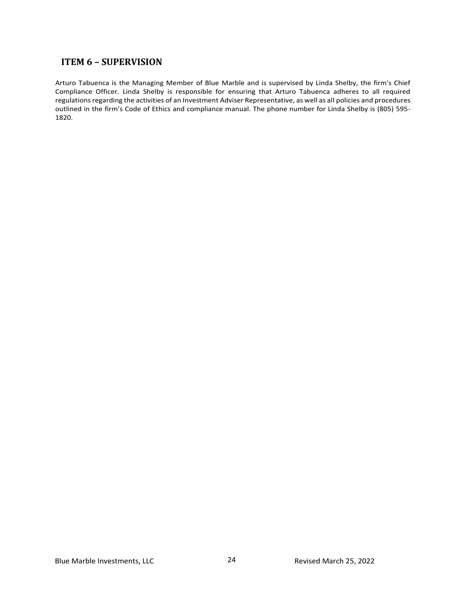## <span id="page-22-0"></span>**ITEM 6 – SUPERVISION**

Arturo Tabuenca is the Managing Member of Blue Marble and is supervised by Linda Shelby, the firm's Chief Compliance Officer. Linda Shelby is responsible for ensuring that Arturo Tabuenca adheres to all required regulations regarding the activities of an Investment Adviser Representative, as well as all policies and procedures outlined in the firm's Code of Ethics and compliance manual. The phone number for Linda Shelby is (805) 595- 1820.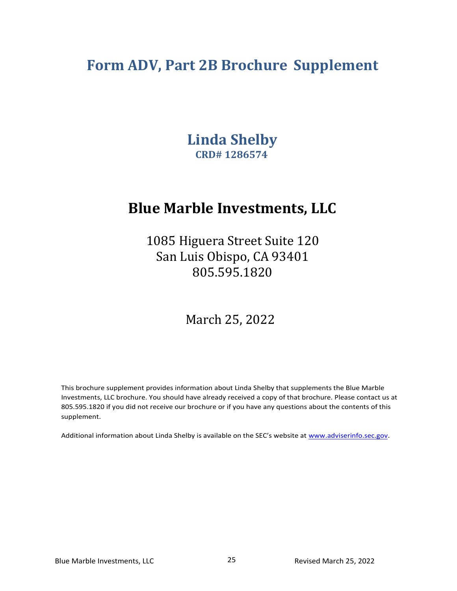# <span id="page-23-1"></span><span id="page-23-0"></span>**Form ADV, Part 2B Brochure Supplement**

**Linda Shelby CRD# 1286574**

# **Blue Marble Investments, LLC**

1085 Higuera Street Suite 120 San Luis Obispo, CA 93401 805.595.1820

March 25, 2022

This brochure supplement provides information about Linda Shelby that supplements the Blue Marble Investments, LLC brochure. You should have already received a copy of that brochure. Please contact us at 805.595.1820 if you did not receive our brochure or if you have any questions about the contents of this supplement.

Additional information about Linda Shelby is available on the SEC's website at [www.adviserinfo.sec.gov.](http://www.adviserinfo.sec.gov/)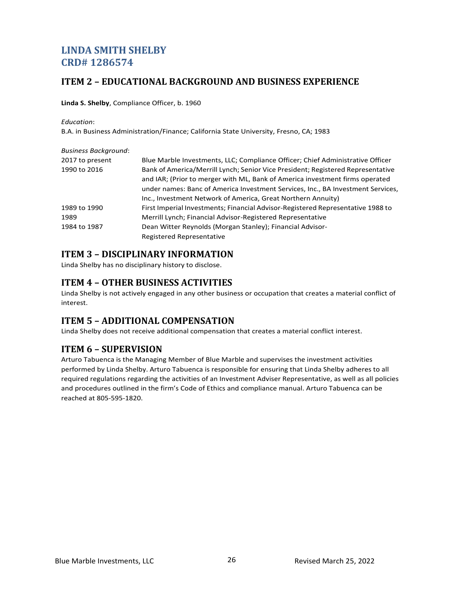# **LINDA SMITH SHELBY CRD# 1286574**

## <span id="page-24-0"></span>**ITEM 2 – EDUCATIONAL BACKGROUND AND BUSINESS EXPERIENCE**

**Linda S. Shelby**, Compliance Officer, b. 1960

*Education*:

B.A. in Business Administration/Finance; California State University, Fresno, CA; 1983

| <b>Business Background:</b> |                                                                                 |
|-----------------------------|---------------------------------------------------------------------------------|
| 2017 to present             | Blue Marble Investments, LLC; Compliance Officer; Chief Administrative Officer  |
| 1990 to 2016                | Bank of America/Merrill Lynch; Senior Vice President; Registered Representative |
|                             | and IAR; (Prior to merger with ML, Bank of America investment firms operated    |
|                             | under names: Banc of America Investment Services, Inc., BA Investment Services, |
|                             | Inc., Investment Network of America, Great Northern Annuity)                    |
| 1989 to 1990                | First Imperial Investments; Financial Advisor-Registered Representative 1988 to |
| 1989                        | Merrill Lynch; Financial Advisor-Registered Representative                      |
| 1984 to 1987                | Dean Witter Reynolds (Morgan Stanley); Financial Advisor-                       |
|                             | Registered Representative                                                       |

# <span id="page-24-1"></span>**ITEM 3 – DISCIPLINARY INFORMATION**

<span id="page-24-2"></span>Linda Shelby has no disciplinary history to disclose.

# **ITEM 4 – OTHER BUSINESS ACTIVITIES**

Linda Shelby is not actively engaged in any other business or occupation that creates a material conflict of interest.

# <span id="page-24-3"></span>**ITEM 5 – ADDITIONAL COMPENSATION**

Linda Shelby does not receive additional compensation that creates a material conflict interest.

# <span id="page-24-4"></span>**ITEM 6 – SUPERVISION**

Arturo Tabuenca is the Managing Member of Blue Marble and supervises the investment activities performed by Linda Shelby. Arturo Tabuenca is responsible for ensuring that Linda Shelby adheres to all required regulations regarding the activities of an Investment Adviser Representative, as well as all policies and procedures outlined in the firm's Code of Ethics and compliance manual. Arturo Tabuenca can be reached at 805-595-1820.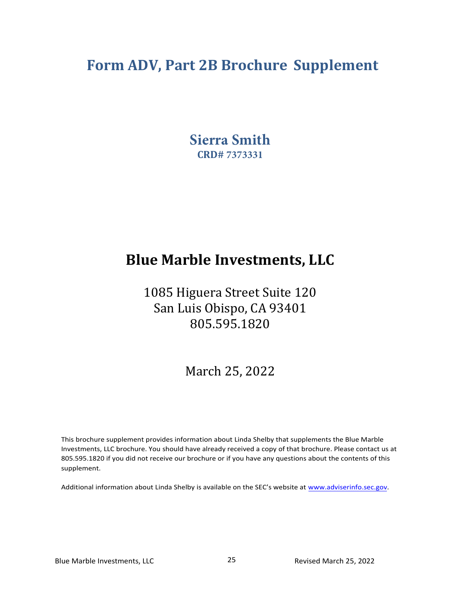# **Form ADV, Part 2B Brochure Supplement**

**Sierra Smith CRD# 7373331**

# **Blue Marble Investments, LLC**

1085 Higuera Street Suite 120 San Luis Obispo, CA 93401 805.595.1820

March 25, 2022

This brochure supplement provides information about Linda Shelby that supplements the Blue Marble Investments, LLC brochure. You should have already received a copy of that brochure. Please contact us at 805.595.1820 if you did not receive our brochure or if you have any questions about the contents of this supplement.

Additional information about Linda Shelby is available on the SEC's website at www.adviserinfo.sec.gov.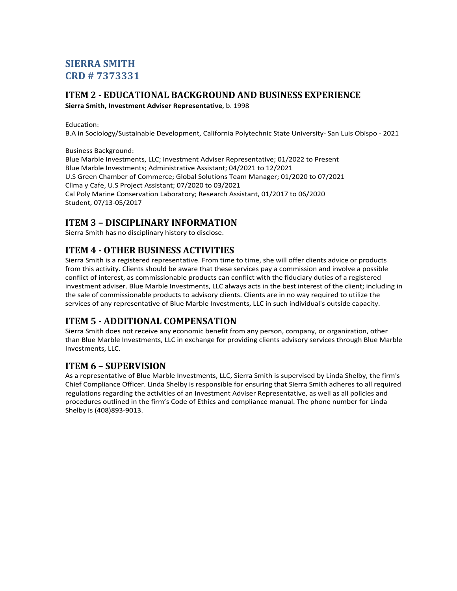# **SIERRA SMITH CRD # 7373331**

# **ITEM 2 - EDUCATIONAL BACKGROUND AND BUSINESS EXPERIENCE**

**Sierra Smith, Investment Adviser Representative**, b. 1998

Education:

B.A in Sociology/Sustainable Development, California Polytechnic State University- San Luis Obispo - 2021

Business Background:

Blue Marble Investments, LLC; Investment Adviser Representative; 01/2022 to Present Blue Marble Investments; Administrative Assistant; 04/2021 to 12/2021 U.S Green Chamber of Commerce; Global Solutions Team Manager; 01/2020 to 07/2021 Clima y Cafe, U.S Project Assistant; 07/2020 to 03/2021 Cal Poly Marine Conservation Laboratory; Research Assistant, 01/2017 to 06/2020 Student, 07/13-05/2017

## **ITEM 3 – DISCIPLINARY INFORMATION**

Sierra Smith has no disciplinary history to disclose.

# **ITEM 4 - OTHER BUSINESS ACTIVITIES**

Sierra Smith is a registered representative. From time to time, she will offer clients advice or products from this activity. Clients should be aware that these services pay a commission and involve a possible conflict of interest, as commissionable products can conflict with the fiduciary duties of a registered investment adviser. Blue Marble Investments, LLC always acts in the best interest of the client; including in the sale of commissionable products to advisory clients. Clients are in no way required to utilize the services of any representative of Blue Marble Investments, LLC in such individual's outside capacity.

# **ITEM 5 - ADDITIONAL COMPENSATION**

Sierra Smith does not receive any economic benefit from any person, company, or organization, other than Blue Marble Investments, LLC in exchange for providing clients advisory services through Blue Marble Investments, LLC.

## **ITEM 6 – SUPERVISION**

As a representative of Blue Marble Investments, LLC, Sierra Smith is supervised by Linda Shelby, the firm's Chief Compliance Officer. Linda Shelby is responsible for ensuring that Sierra Smith adheres to all required regulations regarding the activities of an Investment Adviser Representative, as well as all policies and procedures outlined in the firm's Code of Ethics and compliance manual. The phone number for Linda Shelby is (408)893-9013.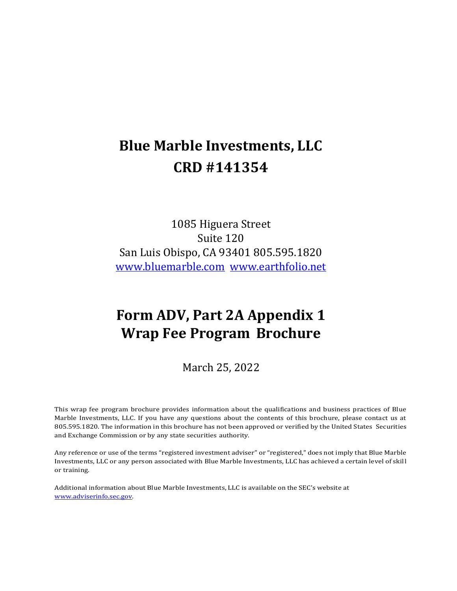# **Blue Marble Investments, LLC CRD #141354**

1085 Higuera Street Suite 120 San Luis Obispo, CA 93401 805.595.1820 [www.bluemarble.com](http://www.bluemarble.com/) [www.earthfolio.net](http://www.earthfolio.net/)

# **Form ADV, Part 2A Appendix 1 Wrap Fee Program Brochure**

March 25, 2022

This wrap fee program brochure provides information about the qualifications and business practices of Blue Marble Investments, LLC. If you have any questions about the contents of this brochure, please contact us at 805.595.1820. The information in this brochure has not been approved or verified by the United States Securities and Exchange Commission or by any state securities authority.

Any reference or use of the terms "registered investment adviser" or "registered," does not imply that Blue Marble Investments, LLC or any person associated with Blue Marble Investments, LLC has achieved a certain level of skill or training.

Additional information about Blue Marble Investments, LLC is available on the SEC's website at [www.adviserinfo.sec.gov.](http://www.adviserinfo.sec.gov/)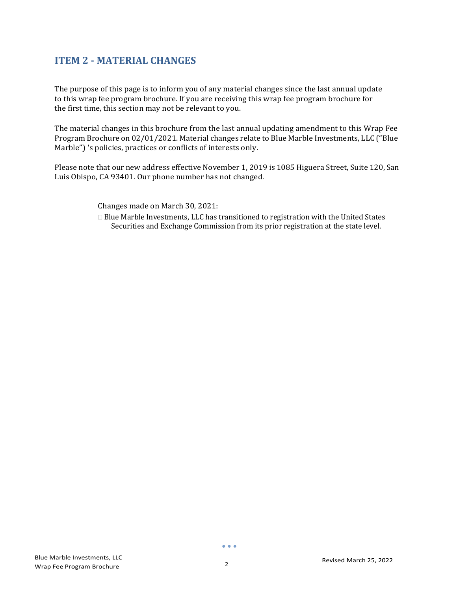# <span id="page-28-0"></span>**ITEM 2 - MATERIAL CHANGES**

The purpose of this page is to inform you of any material changes since the last annual update to this wrap fee program brochure. If you are receiving this wrap fee program brochure for the first time, this section may not be relevant to you.

The material changes in this brochure from the last annual updating amendment to this Wrap Fee Program Brochure on 02/01/2021. Material changes relate to Blue Marble Investments, LLC ("Blue Marble") 's policies, practices or conflicts of interests only.

Please note that our new address effective November 1, 2019 is 1085 Higuera Street, Suite 120, San Luis Obispo, CA 93401. Our phone number has not changed.

Changes made on March 30, 2021:

 $\Box$  Blue Marble Investments, LLC has transitioned to registration with the United States Securities and Exchange Commission from its prior registration at the state level.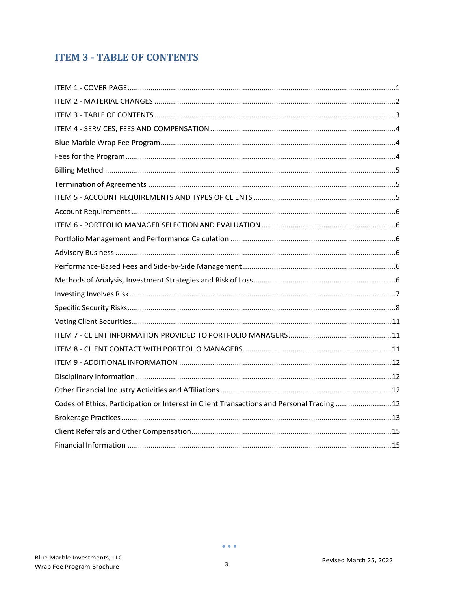# <span id="page-29-0"></span>**ITEM 3 - TABLE OF CONTENTS**

| Codes of Ethics, Participation or Interest in Client Transactions and Personal Trading 12 |  |
|-------------------------------------------------------------------------------------------|--|
|                                                                                           |  |
|                                                                                           |  |
|                                                                                           |  |

 $\mathbf{3}$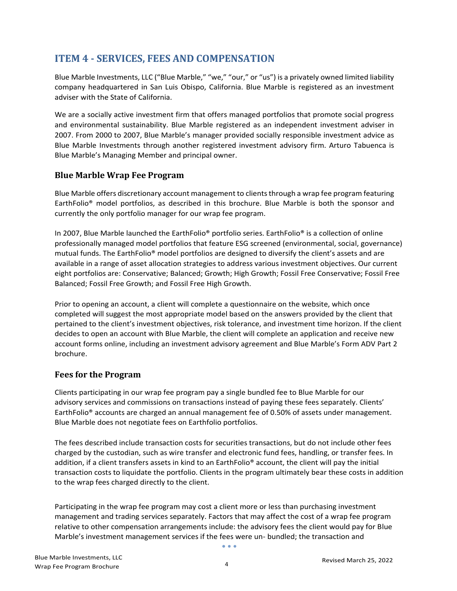# <span id="page-30-0"></span>**ITEM 4 - SERVICES, FEES AND COMPENSATION**

Blue Marble Investments, LLC ("Blue Marble," "we," "our," or "us") is a privately owned limited liability company headquartered in San Luis Obispo, California. Blue Marble is registered as an investment adviser with the State of California.

We are a socially active investment firm that offers managed portfolios that promote social progress and environmental sustainability. Blue Marble registered as an independent investment adviser in 2007. From 2000 to 2007, Blue Marble's manager provided socially responsible investment advice as Blue Marble Investments through another registered investment advisory firm. Arturo Tabuenca is Blue Marble's Managing Member and principal owner.

### <span id="page-30-1"></span>**Blue Marble Wrap Fee Program**

Blue Marble offers discretionary account management to clients through a wrap fee program featuring EarthFolio® model portfolios, as described in this brochure. Blue Marble is both the sponsor and currently the only portfolio manager for our wrap fee program.

In 2007, Blue Marble launched the EarthFolio® portfolio series. EarthFolio® is a collection of online professionally managed model portfolios that feature ESG screened (environmental, social, governance) mutual funds. The EarthFolio® model portfolios are designed to diversify the client's assets and are available in a range of asset allocation strategies to address various investment objectives. Our current eight portfolios are: Conservative; Balanced; Growth; High Growth; Fossil Free Conservative; Fossil Free Balanced; Fossil Free Growth; and Fossil Free High Growth.

Prior to opening an account, a client will complete a questionnaire on the website, which once completed will suggest the most appropriate model based on the answers provided by the client that pertained to the client's investment objectives, risk tolerance, and investment time horizon. If the client decides to open an account with Blue Marble, the client will complete an application and receive new account forms online, including an investment advisory agreement and Blue Marble's Form ADV Part 2 brochure.

#### <span id="page-30-2"></span>**Fees for the Program**

Clients participating in our wrap fee program pay a single bundled fee to Blue Marble for our advisory services and commissions on transactions instead of paying these fees separately. Clients' EarthFolio® accounts are charged an annual management fee of 0.50% of assets under management. Blue Marble does not negotiate fees on Earthfolio portfolios.

The fees described include transaction costs for securities transactions, but do not include other fees charged by the custodian, such as wire transfer and electronic fund fees, handling, or transfer fees. In addition, if a client transfers assets in kind to an EarthFolio® account, the client will pay the initial transaction costs to liquidate the portfolio. Clients in the program ultimately bear these costs in addition to the wrap fees charged directly to the client.

Participating in the wrap fee program may cost a client more or less than purchasing investment management and trading services separately. Factors that may affect the cost of a wrap fee program relative to other compensation arrangements include: the advisory fees the client would pay for Blue Marble's investment management services if the fees were un- bundled; the transaction and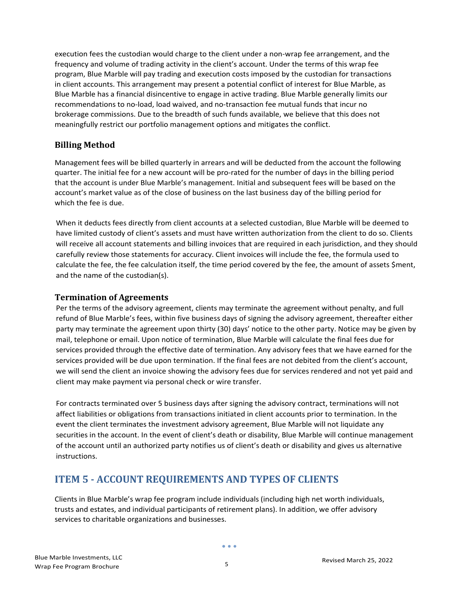execution fees the custodian would charge to the client under a non-wrap fee arrangement, and the frequency and volume of trading activity in the client's account. Under the terms of this wrap fee program, Blue Marble will pay trading and execution costs imposed by the custodian for transactions in client accounts. This arrangement may present a potential conflict of interest for Blue Marble, as Blue Marble has a financial disincentive to engage in active trading. Blue Marble generally limits our recommendations to no-load, load waived, and no-transaction fee mutual funds that incur no brokerage commissions. Due to the breadth of such funds available, we believe that this does not meaningfully restrict our portfolio management options and mitigates the conflict.

## <span id="page-31-0"></span>**Billing Method**

Management fees will be billed quarterly in arrears and will be deducted from the account the following quarter. The initial fee for a new account will be pro-rated for the number of days in the billing period that the account is under Blue Marble's management. Initial and subsequent fees will be based on the account's market value as of the close of business on the last business day of the billing period for which the fee is due.

When it deducts fees directly from client accounts at a selected custodian, Blue Marble will be deemed to have limited custody of client's assets and must have written authorization from the client to do so. Clients will receive all account statements and billing invoices that are required in each jurisdiction, and they should carefully review those statements for accuracy. Client invoices will include the fee, the formula used to calculate the fee, the fee calculation itself, the time period covered by the fee, the amount of assets \$ment, and the name of the custodian(s).

#### <span id="page-31-1"></span>**Termination of Agreements**

Per the terms of the advisory agreement, clients may terminate the agreement without penalty, and full refund of Blue Marble's fees, within five business days of signing the advisory agreement, thereafter either party may terminate the agreement upon thirty (30) days' notice to the other party. Notice may be given by mail, telephone or email. Upon notice of termination, Blue Marble will calculate the final fees due for services provided through the effective date of termination. Any advisory fees that we have earned for the services provided will be due upon termination. If the final fees are not debited from the client's account, we will send the client an invoice showing the advisory fees due for services rendered and not yet paid and client may make payment via personal check or wire transfer.

For contracts terminated over 5 business days after signing the advisory contract, terminations will not affect liabilities or obligations from transactions initiated in client accounts prior to termination. In the event the client terminates the investment advisory agreement, Blue Marble will not liquidate any securities in the account. In the event of client's death or disability, Blue Marble will continue management of the account until an authorized party notifies us of client's death or disability and gives us alternative instructions.

# <span id="page-31-2"></span>**ITEM 5 - ACCOUNT REQUIREMENTS AND TYPES OF CLIENTS**

Clients in Blue Marble's wrap fee program include individuals (including high net worth individuals, trusts and estates, and individual participants of retirement plans). In addition, we offer advisory services to charitable organizations and businesses.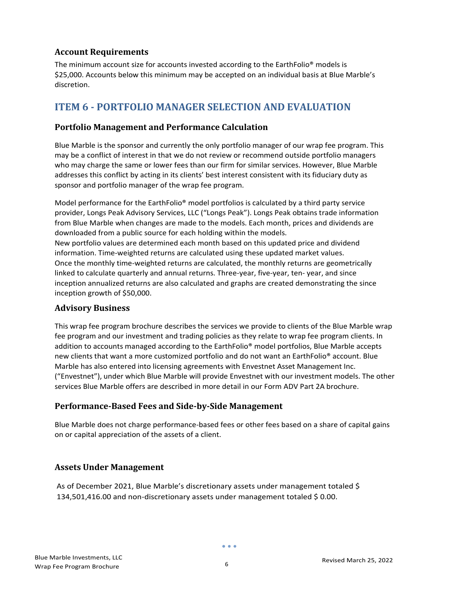## <span id="page-32-0"></span>**Account Requirements**

The minimum account size for accounts invested according to the EarthFolio<sup>®</sup> models is \$25,000. Accounts below this minimum may be accepted on an individual basis at Blue Marble's discretion.

# <span id="page-32-1"></span>**ITEM 6 - PORTFOLIO MANAGER SELECTION AND EVALUATION**

## <span id="page-32-2"></span>**Portfolio Management and Performance Calculation**

Blue Marble is the sponsor and currently the only portfolio manager of our wrap fee program. This may be a conflict of interest in that we do not review or recommend outside portfolio managers who may charge the same or lower fees than our firm for similar services. However, Blue Marble addresses this conflict by acting in its clients' best interest consistent with its fiduciary duty as sponsor and portfolio manager of the wrap fee program.

Model performance for the EarthFolio® model portfolios is calculated by a third party service provider, Longs Peak Advisory Services, LLC ("Longs Peak"). Longs Peak obtains trade information from Blue Marble when changes are made to the models. Each month, prices and dividends are downloaded from a public source for each holding within the models. New portfolio values are determined each month based on this updated price and dividend information. Time-weighted returns are calculated using these updated market values. Once the monthly time-weighted returns are calculated, the monthly returns are geometrically linked to calculate quarterly and annual returns. Three-year, five-year, ten- year, and since inception annualized returns are also calculated and graphs are created demonstrating the since inception growth of \$50,000.

## <span id="page-32-3"></span>**Advisory Business**

This wrap fee program brochure describes the services we provide to clients of the Blue Marble wrap fee program and our investment and trading policies as they relate to wrap fee program clients. In addition to accounts managed according to the EarthFolio<sup>®</sup> model portfolios, Blue Marble accepts new clients that want a more customized portfolio and do not want an EarthFolio® account. Blue Marble has also entered into licensing agreements with Envestnet Asset Management Inc. ("Envestnet"), under which Blue Marble will provide Envestnet with our investment models. The other services Blue Marble offers are described in more detail in our Form ADV Part 2A brochure.

## <span id="page-32-4"></span>**Performance-Based Fees and Side-by-Side Management**

Blue Marble does not charge performance-based fees or other fees based on a share of capital gains on or capital appreciation of the assets of a client.

# **Assets Under Management**

As of December 2021, Blue Marble's discretionary assets under management totaled \$ 134,501,416.00 and non-discretionary assets under management totaled \$ 0.00.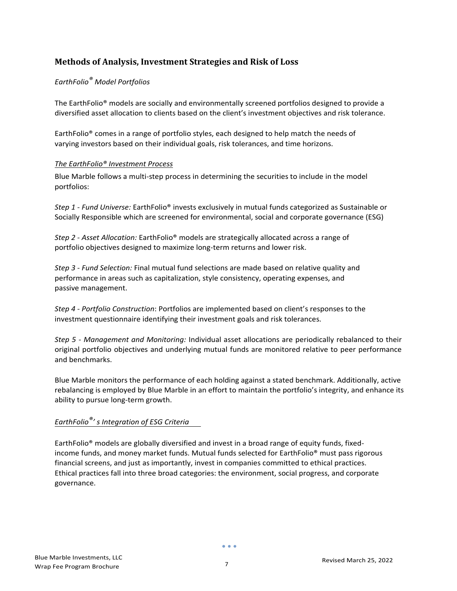## <span id="page-33-0"></span>**Methods of Analysis, Investment Strategies and Risk of Loss**

#### *EarthFolio® Model Portfolios*

The EarthFolio® models are socially and environmentally screened portfolios designed to provide a diversified asset allocation to clients based on the client's investment objectives and risk tolerance.

EarthFolio® comes in a range of portfolio styles, each designed to help match the needs of varying investors based on their individual goals, risk tolerances, and time horizons.

#### *The EarthFolio® Investment Process*

Blue Marble follows a multi-step process in determining the securities to include in the model portfolios:

*Step 1 - Fund Universe:* EarthFolio® invests exclusively in mutual funds categorized as Sustainable or Socially Responsible which are screened for environmental, social and corporate governance (ESG)

*Step 2 - Asset Allocation:* EarthFolio® models are strategically allocated across a range of portfolio objectives designed to maximize long-term returns and lower risk.

*Step 3 - Fund Selection:* Final mutual fund selections are made based on relative quality and performance in areas such as capitalization, style consistency, operating expenses, and passive management.

*Step 4 - Portfolio Construction*: Portfolios are implemented based on client's responses to the investment questionnaire identifying their investment goals and risk tolerances.

*Step 5 - Management and Monitoring:* Individual asset allocations are periodically rebalanced to their original portfolio objectives and underlying mutual funds are monitored relative to peer performance and benchmarks.

Blue Marble monitors the performance of each holding against a stated benchmark. Additionally, active rebalancing is employed by Blue Marble in an effort to maintain the portfolio's integrity, and enhance its ability to pursue long-term growth.

## *EarthFolio®' s Integration of ESG Criteria*

EarthFolio® models are globally diversified and invest in a broad range of equity funds, fixedincome funds, and money market funds. Mutual funds selected for EarthFolio® must pass rigorous financial screens, and just as importantly, invest in companies committed to ethical practices. Ethical practices fall into three broad categories: the environment, social progress, and corporate governance.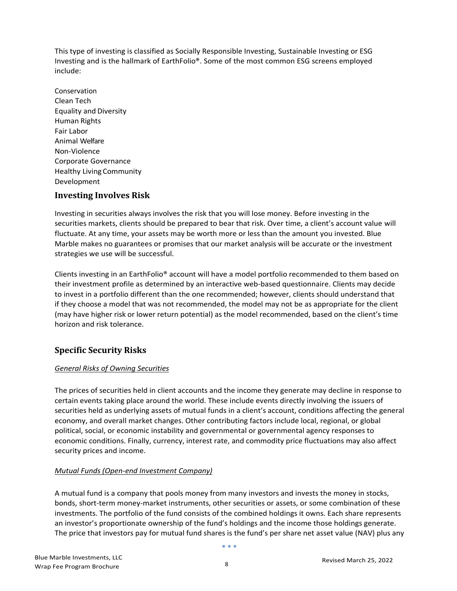This type of investing is classified as Socially Responsible Investing, Sustainable Investing or ESG Investing and is the hallmark of EarthFolio®. Some of the most common ESG screens employed include:

Conservation Clean Tech Equality and Diversity Human Rights Fair Labor Animal Welfare Non-Violence Corporate Governance Healthy Living Community Development

#### <span id="page-34-0"></span>**Investing Involves Risk**

Investing in securities always involves the risk that you will lose money. Before investing in the securities markets, clients should be prepared to bear that risk. Over time, a client's account value will fluctuate. At any time, your assets may be worth more or less than the amount you invested. Blue Marble makes no guarantees or promises that our market analysis will be accurate or the investment strategies we use will be successful.

Clients investing in an EarthFolio® account will have a model portfolio recommended to them based on their investment profile as determined by an interactive web-based questionnaire. Clients may decide to invest in a portfolio different than the one recommended; however, clients should understand that if they choose a model that was not recommended, the model may not be as appropriate for the client (may have higher risk or lower return potential) as the model recommended, based on the client's time horizon and risk tolerance.

## <span id="page-34-1"></span>**Specific Security Risks**

#### *General Risks of Owning Securities*

The prices of securities held in client accounts and the income they generate may decline in response to certain events taking place around the world. These include events directly involving the issuers of securities held as underlying assets of mutual funds in a client's account, conditions affecting the general economy, and overall market changes. Other contributing factors include local, regional, or global political, social, or economic instability and governmental or governmental agency responses to economic conditions. Finally, currency, interest rate, and commodity price fluctuations may also affect security prices and income.

#### *Mutual Funds (Open-end Investment Company)*

A mutual fund is a company that pools money from many investors and invests the money in stocks, bonds, short-term money-market instruments, other securities or assets, or some combination of these investments. The portfolio of the fund consists of the combined holdings it owns. Each share represents an investor's proportionate ownership of the fund's holdings and the income those holdings generate. The price that investors pay for mutual fund shares is the fund's per share net asset value (NAV) plus any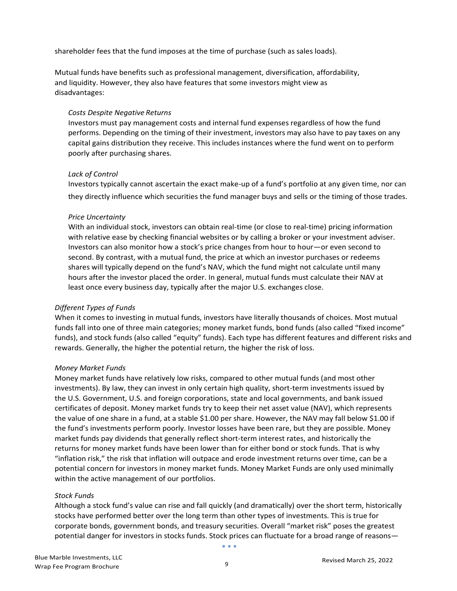shareholder fees that the fund imposes at the time of purchase (such as sales loads).

Mutual funds have benefits such as professional management, diversification, affordability, and liquidity. However, they also have features that some investors might view as disadvantages:

#### *Costs Despite Negative Returns*

Investors must pay management costs and internal fund expenses regardless of how the fund performs. Depending on the timing of their investment, investors may also have to pay taxes on any capital gains distribution they receive. This includes instances where the fund went on to perform poorly after purchasing shares.

#### *Lack of Control*

Investors typically cannot ascertain the exact make-up of a fund's portfolio at any given time, nor can they directly influence which securities the fund manager buys and sells or the timing of those trades.

#### *Price Uncertainty*

With an individual stock, investors can obtain real-time (or close to real-time) pricing information with relative ease by checking financial websites or by calling a broker or your investment adviser. Investors can also monitor how a stock's price changes from hour to hour—or even second to second. By contrast, with a mutual fund, the price at which an investor purchases or redeems shares will typically depend on the fund's NAV, which the fund might not calculate until many hours after the investor placed the order. In general, mutual funds must calculate their NAV at least once every business day, typically after the major U.S. exchanges close.

#### *Different Types of Funds*

When it comes to investing in mutual funds, investors have literally thousands of choices. Most mutual funds fall into one of three main categories; money market funds, bond funds (also called "fixed income" funds), and stock funds (also called "equity" funds). Each type has different features and different risks and rewards. Generally, the higher the potential return, the higher the risk of loss.

#### *Money Market Funds*

Money market funds have relatively low risks, compared to other mutual funds (and most other investments). By law, they can invest in only certain high quality, short-term investments issued by the U.S. Government, U.S. and foreign corporations, state and local governments, and bank issued certificates of deposit. Money market funds try to keep their net asset value (NAV), which represents the value of one share in a fund, at a stable \$1.00 per share. However, the NAV may fall below \$1.00 if the fund's investments perform poorly. Investor losses have been rare, but they are possible. Money market funds pay dividends that generally reflect short-term interest rates, and historically the returns for money market funds have been lower than for either bond or stock funds. That is why "inflation risk," the risk that inflation will outpace and erode investment returns over time, can be a potential concern for investors in money market funds. Money Market Funds are only used minimally within the active management of our portfolios.

#### *Stock Funds*

Although a stock fund's value can rise and fall quickly (and dramatically) over the short term, historically stocks have performed better over the long term than other types of investments. This is true for corporate bonds, government bonds, and treasury securities. Overall "market risk" poses the greatest potential danger for investors in stocks funds. Stock prices can fluctuate for a broad range of reasons—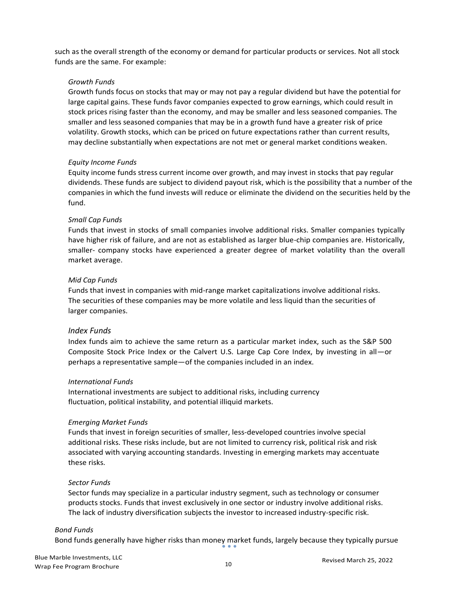such as the overall strength of the economy or demand for particular products or services. Not all stock funds are the same. For example:

#### *Growth Funds*

Growth funds focus on stocks that may or may not pay a regular dividend but have the potential for large capital gains. These funds favor companies expected to grow earnings, which could result in stock prices rising faster than the economy, and may be smaller and less seasoned companies. The smaller and less seasoned companies that may be in a growth fund have a greater risk of price volatility. Growth stocks, which can be priced on future expectations rather than current results, may decline substantially when expectations are not met or general market conditions weaken.

#### *Equity Income Funds*

Equity income funds stress current income over growth, and may invest in stocks that pay regular dividends. These funds are subject to dividend payout risk, which is the possibility that a number of the companies in which the fund invests will reduce or eliminate the dividend on the securities held by the fund.

#### *Small Cap Funds*

Funds that invest in stocks of small companies involve additional risks. Smaller companies typically have higher risk of failure, and are not as established as larger blue-chip companies are. Historically, smaller- company stocks have experienced a greater degree of market volatility than the overall market average.

#### *Mid Cap Funds*

Funds that invest in companies with mid-range market capitalizations involve additional risks. The securities of these companies may be more volatile and less liquid than the securities of larger companies.

#### *Index Funds*

Index funds aim to achieve the same return as a particular market index, such as the S&P 500 Composite Stock Price Index or the Calvert U.S. Large Cap Core Index, by investing in all—or perhaps a representative sample—of the companies included in an index.

#### *International Funds*

International investments are subject to additional risks, including currency fluctuation, political instability, and potential illiquid markets.

#### *Emerging Market Funds*

Funds that invest in foreign securities of smaller, less-developed countries involve special additional risks. These risks include, but are not limited to currency risk, political risk and risk associated with varying accounting standards. Investing in emerging markets may accentuate these risks.

#### *Sector Funds*

Sector funds may specialize in a particular industry segment, such as technology or consumer products stocks. Funds that invest exclusively in one sector or industry involve additional risks. The lack of industry diversification subjects the investor to increased industry-specific risk.

#### *Bond Funds*

Bond funds generally have higher risks than money market funds, largely because they typically pursue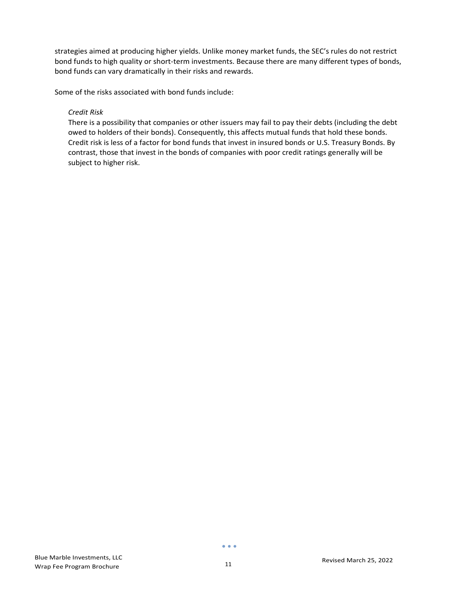strategies aimed at producing higher yields. Unlike money market funds, the SEC's rules do not restrict bond funds to high quality or short-term investments. Because there are many different types of bonds, bond funds can vary dramatically in their risks and rewards.

Some of the risks associated with bond funds include:

#### *Credit Risk*

There is a possibility that companies or other issuers may fail to pay their debts (including the debt owed to holders of their bonds). Consequently, this affects mutual funds that hold these bonds. Credit risk is less of a factor for bond funds that invest in insured bonds or U.S. Treasury Bonds. By contrast, those that invest in the bonds of companies with poor credit ratings generally will be subject to higher risk.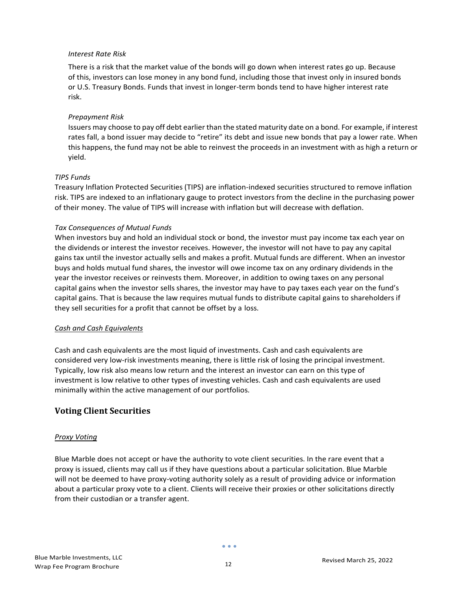#### *Interest Rate Risk*

There is a risk that the market value of the bonds will go down when interest rates go up. Because of this, investors can lose money in any bond fund, including those that invest only in insured bonds or U.S. Treasury Bonds. Funds that invest in longer-term bonds tend to have higher interest rate risk.

#### *Prepayment Risk*

Issuers may choose to pay off debt earlier than the stated maturity date on a bond. For example, if interest rates fall, a bond issuer may decide to "retire" its debt and issue new bonds that pay a lower rate. When this happens, the fund may not be able to reinvest the proceeds in an investment with as high a return or yield.

#### *TIPS Funds*

Treasury Inflation Protected Securities (TIPS) are inflation-indexed securities structured to remove inflation risk. TIPS are indexed to an inflationary gauge to protect investors from the decline in the purchasing power of their money. The value of TIPS will increase with inflation but will decrease with deflation.

#### *Tax Consequences of Mutual Funds*

When investors buy and hold an individual stock or bond, the investor must pay income tax each year on the dividends or interest the investor receives. However, the investor will not have to pay any capital gains tax until the investor actually sells and makes a profit. Mutual funds are different. When an investor buys and holds mutual fund shares, the investor will owe income tax on any ordinary dividends in the year the investor receives or reinvests them. Moreover, in addition to owing taxes on any personal capital gains when the investor sells shares, the investor may have to pay taxes each year on the fund's capital gains. That is because the law requires mutual funds to distribute capital gains to shareholders if they sell securities for a profit that cannot be offset by a loss.

#### *Cash and Cash Equivalents*

Cash and cash equivalents are the most liquid of investments. Cash and cash equivalents are considered very low-risk investments meaning, there is little risk of losing the principal investment. Typically, low risk also means low return and the interest an investor can earn on this type of investment is low relative to other types of investing vehicles. Cash and cash equivalents are used minimally within the active management of our portfolios.

#### <span id="page-38-0"></span>**Voting Client Securities**

#### *Proxy Voting*

Blue Marble does not accept or have the authority to vote client securities. In the rare event that a proxy is issued, clients may call us if they have questions about a particular solicitation. Blue Marble will not be deemed to have proxy-voting authority solely as a result of providing advice or information about a particular proxy vote to a client. Clients will receive their proxies or other solicitations directly from their custodian or a transfer agent.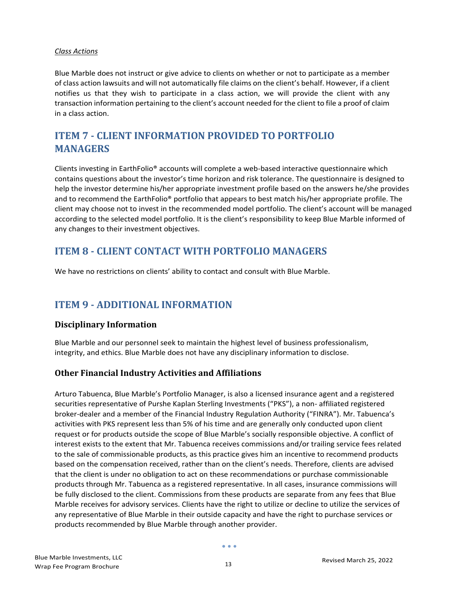#### *Class Actions*

Blue Marble does not instruct or give advice to clients on whether or not to participate as a member of class action lawsuits and will not automatically file claims on the client's behalf. However, if a client notifies us that they wish to participate in a class action, we will provide the client with any transaction information pertaining to the client's account needed for the client to file a proof of claim in a class action.

# <span id="page-39-0"></span>**ITEM 7 - CLIENT INFORMATION PROVIDED TO PORTFOLIO MANAGERS**

Clients investing in EarthFolio® accounts will complete a web-based interactive questionnaire which contains questions about the investor's time horizon and risk tolerance. The questionnaire is designed to help the investor determine his/her appropriate investment profile based on the answers he/she provides and to recommend the EarthFolio® portfolio that appears to best match his/her appropriate profile. The client may choose not to invest in the recommended model portfolio. The client's account will be managed according to the selected model portfolio. It is the client's responsibility to keep Blue Marble informed of any changes to their investment objectives.

# <span id="page-39-1"></span>**ITEM 8 - CLIENT CONTACT WITH PORTFOLIO MANAGERS**

We have no restrictions on clients' ability to contact and consult with Blue Marble.

# <span id="page-39-2"></span>**ITEM 9 - ADDITIONAL INFORMATION**

#### <span id="page-39-3"></span>**Disciplinary Information**

Blue Marble and our personnel seek to maintain the highest level of business professionalism, integrity, and ethics. Blue Marble does not have any disciplinary information to disclose.

## <span id="page-39-4"></span>**Other Financial Industry Activities and Affiliations**

Arturo Tabuenca, Blue Marble's Portfolio Manager, is also a licensed insurance agent and a registered securities representative of Purshe Kaplan Sterling Investments ("PKS"), a non- affiliated registered broker-dealer and a member of the Financial Industry Regulation Authority ("FINRA"). Mr. Tabuenca's activities with PKS represent less than 5% of his time and are generally only conducted upon client request or for products outside the scope of Blue Marble's socially responsible objective. A conflict of interest exists to the extent that Mr. Tabuenca receives commissions and/or trailing service fees related to the sale of commissionable products, as this practice gives him an incentive to recommend products based on the compensation received, rather than on the client's needs. Therefore, clients are advised that the client is under no obligation to act on these recommendations or purchase commissionable products through Mr. Tabuenca as a registered representative. In all cases, insurance commissions will be fully disclosed to the client. Commissions from these products are separate from any fees that Blue Marble receives for advisory services. Clients have the right to utilize or decline to utilize the services of any representative of Blue Marble in their outside capacity and have the right to purchase services or products recommended by Blue Marble through another provider.

 $\bullet$   $\bullet$   $\bullet$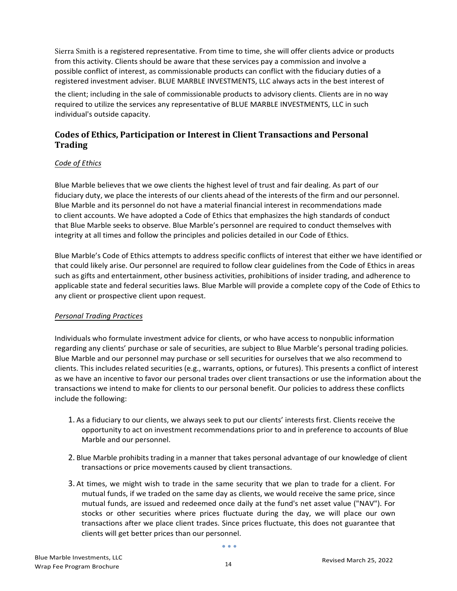Sierra Smith is a registered representative. From time to time, she will offer clients advice or products from this activity. Clients should be aware that these services pay a commission and involve a possible conflict of interest, as commissionable products can conflict with the fiduciary duties of a registered investment adviser. BLUE MARBLE INVESTMENTS, LLC always acts in the best interest of

the client; including in the sale of commissionable products to advisory clients. Clients are in no way required to utilize the services any representative of BLUE MARBLE INVESTMENTS, LLC in such individual's outside capacity.

## <span id="page-40-0"></span>**Codes of Ethics, Participation or Interest in Client Transactions and Personal Trading**

#### *Code of Ethics*

Blue Marble believes that we owe clients the highest level of trust and fair dealing. As part of our fiduciary duty, we place the interests of our clients ahead of the interests of the firm and our personnel. Blue Marble and its personnel do not have a material financial interest in recommendations made to client accounts. We have adopted a Code of Ethics that emphasizes the high standards of conduct that Blue Marble seeks to observe. Blue Marble's personnel are required to conduct themselves with integrity at all times and follow the principles and policies detailed in our Code of Ethics.

Blue Marble's Code of Ethics attempts to address specific conflicts of interest that either we have identified or that could likely arise. Our personnel are required to follow clear guidelines from the Code of Ethics in areas such as gifts and entertainment, other business activities, prohibitions of insider trading, and adherence to applicable state and federal securities laws. Blue Marble will provide a complete copy of the Code of Ethics to any client or prospective client upon request.

#### *Personal Trading Practices*

Individuals who formulate investment advice for clients, or who have access to nonpublic information regarding any clients' purchase or sale of securities, are subject to Blue Marble's personal trading policies. Blue Marble and our personnel may purchase or sell securities for ourselves that we also recommend to clients. This includes related securities (e.g., warrants, options, or futures). This presents a conflict of interest as we have an incentive to favor our personal trades over client transactions or use the information about the transactions we intend to make for clients to our personal benefit. Our policies to address these conflicts include the following:

- 1. As a fiduciary to our clients, we always seek to put our clients' interests first. Clients receive the opportunity to act on investment recommendations prior to and in preference to accounts of Blue Marble and our personnel.
- 2. Blue Marble prohibits trading in a manner that takes personal advantage of our knowledge of client transactions or price movements caused by client transactions.
- 3. At times, we might wish to trade in the same security that we plan to trade for a client. For mutual funds, if we traded on the same day as clients, we would receive the same price, since mutual funds, are issued and redeemed once daily at the fund's net asset value ("NAV"). For stocks or other securities where prices fluctuate during the day, we will place our own transactions after we place client trades. Since prices fluctuate, this does not guarantee that clients will get better prices than our personnel.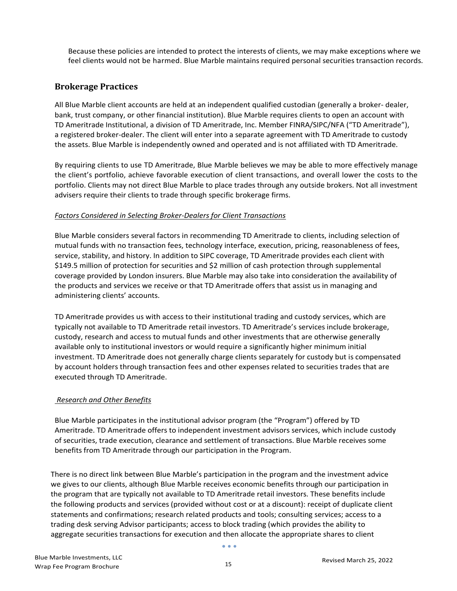Because these policies are intended to protect the interests of clients, we may make exceptions where we feel clients would not be harmed. Blue Marble maintains required personal securities transaction records.

### <span id="page-41-0"></span>**Brokerage Practices**

All Blue Marble client accounts are held at an independent qualified custodian (generally a broker- dealer, bank, trust company, or other financial institution). Blue Marble requires clients to open an account with TD Ameritrade Institutional, a division of TD Ameritrade, Inc. Member FINRA/SIPC/NFA ("TD Ameritrade"), a registered broker-dealer. The client will enter into a separate agreement with TD Ameritrade to custody the assets. Blue Marble is independently owned and operated and is not affiliated with TD Ameritrade.

By requiring clients to use TD Ameritrade, Blue Marble believes we may be able to more effectively manage the client's portfolio, achieve favorable execution of client transactions, and overall lower the costs to the portfolio. Clients may not direct Blue Marble to place trades through any outside brokers. Not all investment advisers require their clients to trade through specific brokerage firms.

#### *Factors Considered in Selecting Broker-Dealers for Client Transactions*

Blue Marble considers several factors in recommending TD Ameritrade to clients, including selection of mutual funds with no transaction fees, technology interface, execution, pricing, reasonableness of fees, service, stability, and history. In addition to SIPC coverage, TD Ameritrade provides each client with \$149.5 million of protection for securities and \$2 million of cash protection through supplemental coverage provided by London insurers. Blue Marble may also take into consideration the availability of the products and services we receive or that TD Ameritrade offers that assist us in managing and administering clients' accounts.

TD Ameritrade provides us with access to their institutional trading and custody services, which are typically not available to TD Ameritrade retail investors. TD Ameritrade's services include brokerage, custody, research and access to mutual funds and other investments that are otherwise generally available only to institutional investors or would require a significantly higher minimum initial investment. TD Ameritrade does not generally charge clients separately for custody but is compensated by account holders through transaction fees and other expenses related to securities trades that are executed through TD Ameritrade.

#### *Research and Other Benefits*

Blue Marble participates in the institutional advisor program (the "Program") offered by TD Ameritrade. TD Ameritrade offers to independent investment advisors services, which include custody of securities, trade execution, clearance and settlement of transactions. Blue Marble receives some benefits from TD Ameritrade through our participation in the Program.

There is no direct link between Blue Marble's participation in the program and the investment advice we gives to our clients, although Blue Marble receives economic benefits through our participation in the program that are typically not available to TD Ameritrade retail investors. These benefits include the following products and services (provided without cost or at a discount): receipt of duplicate client statements and confirmations; research related products and tools; consulting services; access to a trading desk serving Advisor participants; access to block trading (which provides the ability to aggregate securities transactions for execution and then allocate the appropriate shares to client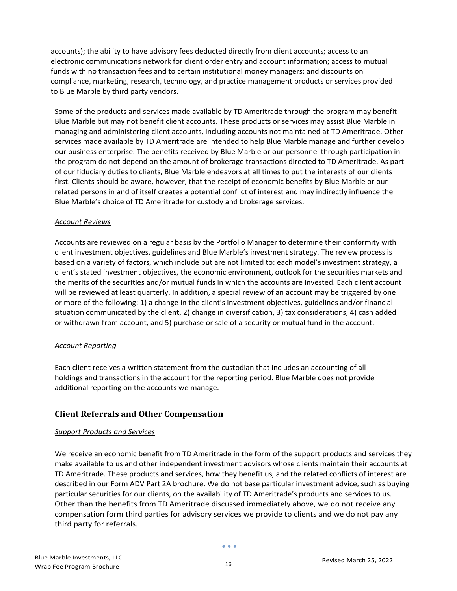accounts); the ability to have advisory fees deducted directly from client accounts; access to an electronic communications network for client order entry and account information; access to mutual funds with no transaction fees and to certain institutional money managers; and discounts on compliance, marketing, research, technology, and practice management products or services provided to Blue Marble by third party vendors.

Some of the products and services made available by TD Ameritrade through the program may benefit Blue Marble but may not benefit client accounts. These products or services may assist Blue Marble in managing and administering client accounts, including accounts not maintained at TD Ameritrade. Other services made available by TD Ameritrade are intended to help Blue Marble manage and further develop our business enterprise. The benefits received by Blue Marble or our personnel through participation in the program do not depend on the amount of brokerage transactions directed to TD Ameritrade. As part of our fiduciary duties to clients, Blue Marble endeavors at all times to put the interests of our clients first. Clients should be aware, however, that the receipt of economic benefits by Blue Marble or our related persons in and of itself creates a potential conflict of interest and may indirectly influence the Blue Marble's choice of TD Ameritrade for custody and brokerage services.

#### *Account Reviews*

Accounts are reviewed on a regular basis by the Portfolio Manager to determine their conformity with client investment objectives, guidelines and Blue Marble's investment strategy. The review process is based on a variety of factors, which include but are not limited to: each model's investment strategy, a client's stated investment objectives, the economic environment, outlook for the securities markets and the merits of the securities and/or mutual funds in which the accounts are invested. Each client account will be reviewed at least quarterly. In addition, a special review of an account may be triggered by one or more of the following: 1) a change in the client's investment objectives, guidelines and/or financial situation communicated by the client, 2) change in diversification, 3) tax considerations, 4) cash added or withdrawn from account, and 5) purchase or sale of a security or mutual fund in the account.

#### *Account Reporting*

Each client receives a written statement from the custodian that includes an accounting of all holdings and transactions in the account for the reporting period. Blue Marble does not provide additional reporting on the accounts we manage.

## <span id="page-42-0"></span>**Client Referrals and Other Compensation**

#### *Support Products and Services*

We receive an economic benefit from TD Ameritrade in the form of the support products and services they make available to us and other independent investment advisors whose clients maintain their accounts at TD Ameritrade. These products and services, how they benefit us, and the related conflicts of interest are described in our Form ADV Part 2A brochure. We do not base particular investment advice, such as buying particular securities for our clients, on the availability of TD Ameritrade's products and services to us. Other than the benefits from TD Ameritrade discussed immediately above, we do not receive any compensation form third parties for advisory services we provide to clients and we do not pay any third party for referrals.